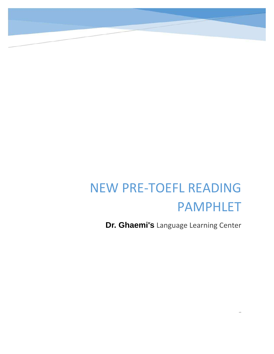# NEW PRE-TOEFL READING PAMPHLET

Dr. Ghaemi's Language Learning Center

ww.ibtil.org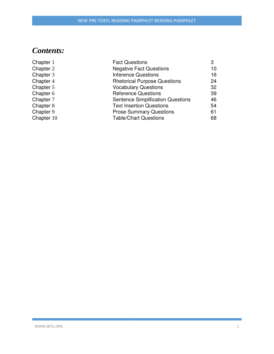# *Contents:*

| Chapter 1  | <b>Fact Questions</b>                    | 3  |
|------------|------------------------------------------|----|
| Chapter 2  | <b>Negative Fact Questions</b>           | 10 |
| Chapter 3  | <b>Inference Questions</b>               | 16 |
| Chapter 4  | <b>Rhetorical Purpose Questions</b>      | 24 |
| Chapter 5  | <b>Vocabulary Questions</b>              | 32 |
| Chapter 6  | <b>Reference Questions</b>               | 39 |
| Chapter 7  | <b>Sentence Simplification Questions</b> | 46 |
| Chapter 8  | <b>Text Insertion Questions</b>          | 54 |
| Chapter 9  | <b>Prose Summary Questions</b>           | 61 |
| Chapter 10 | <b>Table/Chart Questions</b>             | 68 |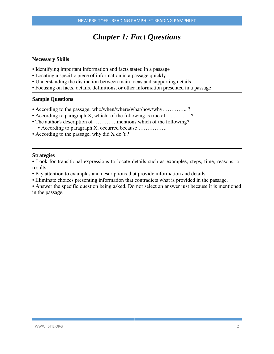# *Chapter 1: Fact Questions*

#### **Necessary Skills**

- Identifying important information and facts stated in a passage
- Locating a specific piece of information in a passage quickly
- Understanding the distinction between main ideas and supporting details
- Focusing on facts, details, definitions, or other information presented in a passage

#### **Sample Questions**

- According to the passage, who/when/where/what/how/why…………..?
- According to paragraph X, which of the following is true of..............?
- The author's description of ...............mentions which of the following?
- · . According to paragraph X, occurred because …………….
- According to the passage, why did X do Y?

#### **Strategies**

• Look for transitional expressions to locate details such as examples, steps, time, reasons, or results.

- Pay attention to examples and descriptions that provide information and details.
- Eliminate choices presenting information that contradicts what is provided in the passage.

• Answer the specific question being asked. Do not select an answer just because it is mentioned in the passage.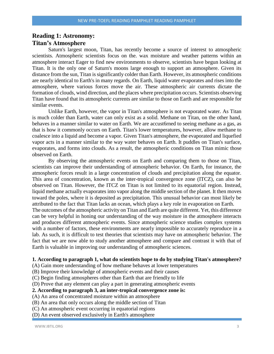## **Reading 1: Astronomy: Titan's Atmosphere**

Saturn's largest moon, Titan, has recently become a source of interest to atmospheric scientists. Atmospheric scientists focus on the. wax moisture and weather patterns within an atmosphere interact Eager to find new environments to observe, scientists have begun looking at Titan. It is the only one of Saturn's moons large enough to support an atmosphere. Given its distance from the sun, Titan is significantly colder than Earth. However, its atmospheric conditions are nearly identical to Earth's in many regards. On Earth, liquid water evaporates and rises into the atmosphere, where various forces move the air. These atmospheric air currents dictate the formation of clouds, wind direction, and the places where precipitation occurs. Scientists observing Titan have found that its atmospheric currents are similar to those on Earth and are responsible for similar events.

Unlike Earth, however, the vapor in Titan's atmosphere is not evaporated water. As Titan is much colder than Earth, water can only exist as a solid. Methane on Titan, on the other hand, behaves in a manner similar to water on Earth. We are accustomed to seeing methane as a gas, as that is how it commonly occurs on Earth. Titan's lower temperatures, however, allow methane to coalesce into a liquid and become a vapor. Given Titan's atmosphere, the evaporated and liquefied vapor acts in a manner similar to the way water behaves on Earth. It puddles on Titan's surface, evaporates, and forms into clouds. As a result, the atmospheric conditions on Titan mimic those observed on Earth.

By observing the atmospheric events on Earth and comparing them to those on Titan, scientists can improve their understanding of atmospheric behavior. On Earth, for instance, the atmospheric forces result in a large concentration of clouds and precipitation along the equator. This area of concentration, known as the inter-tropical convergence zone (ITCZ), can also be observed on Titan. However, the ITCZ on Titan is not limited to its equatorial region. Instead, liquid methane actually evaporates into vapor along the middle section of the planet. It then moves toward the poles, where it is deposited as precipitation. This unusual behavior can most likely be attributed to the fact that Titan lacks an ocean, which plays a key role in evaporation on Earth.

The outcomes of the atmospheric activity on Titan and Earth are quite different. Yet, this difference can be very helpful in honing our understanding of the way moisture in the atmosphere interacts and produces different atmospheric events. Since atmospheric science studies complex systems with a number of factors, these environments are nearly impossible to accurately reproduce in a lab. As such, it is difficult to test theories that scientists may have on atmospheric behavior. The fact that we are now able to study another atmosphere and compare and contrast it with that of Earth is valuable in improving our understanding of atmospheric sciences.

#### **1. According to paragraph 1, what do scientists hope to do by studying Titan's atmosphere?**

(A) Gain more understanding of how methane behaves at lower temperatures

- (B) Improve their knowledge of atmospheric events and their causes
- (C) Begin finding atmospheres other than Earth that are friendly to life

(D) Prove that any element can play a part in generating atmospheric events

#### **2. According to paragraph 3, an inter-tropical convergence zone is:**

- (A) An area of concentrated moisture within an atmosphere
- (B) An area that only occurs along the middle section of Titan
- (C) An atmospheric event occurring in equatorial regions
- (D) An event observed exclusively in Earth's atmosphere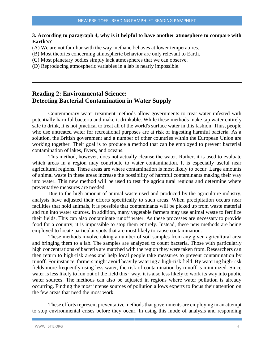#### **3. According to paragraph 4, why is it helpful to have another atmosphere to compare with Earth's?**

(A) We are not familiar with the way methane behaves at lower temperatures.

(B) Most theories concerning atmospheric behavior are only relevant to Earth.

(C) Most planetary bodies simply lack atmospheres that we can observe.

(D) Reproducing atmospheric variables in a lab is nearly impossible.

## **Reading 2: Environmental Science: Detecting Bacterial Contamination in Water Supply**

Contemporary water treatment methods allow governments to treat water infested with potentially harmful bacteria and make it drinkable. While these methods make tap water entirely safe to drink, it is not practical to treat all of the world's surface water in this fashion. Thus, people who use untreated water for recreational purposes are at risk of ingesting harmful bacteria. As a solution, the British government and a number of other countries within the European Union are working together. Their goal is to produce a method that can be employed to prevent bacterial contamination of lakes, fivers, and oceans.

This method, however, does not actually cleanse the water. Rather, it is used to evaluate which areas in a region may contribute to water contamination. It is especially useful near agricultural regions. These areas are where contamination is most likely to occur. Large amounts of animal waste in these areas increase the possibility of harmful contaminants making their way into water. This new method will be used to test the agricultural regions and determine where preventative measures are needed.

Due to the high amount of animal waste used and produced by the agriculture industry, analysts have adjusted their efforts specifically to such areas. When precipitation occurs near facilities that hold animals, it is possible that contaminants will be picked up from waste material and run into water sources. In addition, many vegetable farmers may use animal waste to fertilize their fields. This can also contaminate runoff water. As these processes are necessary to provide food for a country, it is impossible to stop them entirely. Instead, these new methods are being employed to locate particular spots that are most likely to cause contamination.

These methods involve taking a number of soil samples from any given agricultural area and bringing them to a lab. The samples are analyzed to count bacteria. Those with particularly high concentrations of bacteria are matched with the region they were taken from. Researchers can then return to high-risk areas and help local people take measures to prevent contamination by runoff. For instance, farmers might avoid heavily watering a high-risk field. By watering high-risk fields more frequently using less water, the risk of contamination by runoff is minimized. Since water is less likely to run out of the field this  $\cdot$  way, it is also less likely to work its way into public water sources. The methods can also be adjusted in regions where water pollution is already occurring. Finding the most intense sources of pollution allows experts to focus their attention on the few areas that need the most work.

These efforts represent preventative methods that governments are employing in an attempt to stop environmental crises before they occur. In using this mode of analysis and responding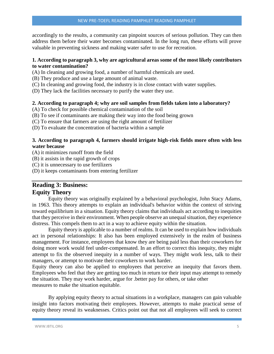accordingly to the results, a community can pinpoint sources of serious pollution. They can then address them before their water becomes contaminated. In the long run, these efforts will prove valuable in preventing sickness and making water safer to use for recreation.

#### **1. According to paragraph 3, why are agricultural areas some of the most likely contributors to water contamination?**

- (A) In cleaning and growing food, a number of harmful chemicals are used.
- (B) They produce and use a large amount of animal waste.
- (C) In cleaning and growing food, the industry is in close contact with water supplies.
- (D) They lack the facilities necessary to purify the water they use.

#### **2. According to paragraph 4; why are soil samples from fields taken into a laboratory?**

- (A) To check for possible chemical contamination of the soil
- (B) To see if contaminants are making their way into the food being grown
- (C) To ensure that farmers are using the right amount of fertilizer
- (D) To evaluate the concentration of bacteria within a sample

#### **3. According to paragraph 4, farmers should irrigate high-risk fields more often with less water because**

- (A) it minimizes runoff from the field
- (B) it assists in the rapid growth of crops
- (C) it is unnecessary to use fertilizers
- (D) it keeps contaminants from entering fertilizer

## **Reading 3: Business: Equity Theory**

Equity theory was originally explained by a behavioral psychologist, John Stacy Adams, in 1963. This theory attempts to explain an individual's behavior within the context of striving toward equilibrium in a situation. Equity theory claims that individuals act according to inequities that they perceive in their environment. When people observe an unequal situation, they experience distress. This compels them to act in a way to achieve equity within the situation.

Equity theory is applicable to a number of realms. It can be used to explain how individuals act in personal relationships: It also has been employed extensively in the realm of business management. For instance, employees that know they are being paid less than their coworkers for doing more work would feel under-compensated. In an effort to correct this inequity, they might attempt to fix the observed inequity in a number of ways. They might work less, talk to their managers, or attempt to motivate their coworkers to work harder.

Equity theory can also be applied to employees that perceive an inequity that favors them. Employees who feel that they are getting too much in return tor their input may attempt to remedy the situation. They may work harder, argue for .better pay for others, or take other measures to make the situation equitable.

By applying equity theory to actual situations in a workplace, managers can gain valuable insight into factors motivating their employees. However, attempts to make practical sense of equity theory reveal its weaknesses. Critics point out that not all employees will seek to correct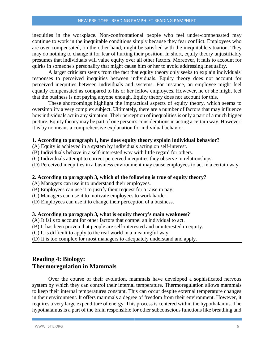inequities in the workplace. Non-confrontational people who feel under-compensated may continue to work in the inequitable conditions simply because they fear conflict. Employees who are over-compensated, on the other hand, might be satisfied with the inequitable situation. They may do nothing to change it for fear of hurting their position. In short, equity theory unjustifiably presumes that individuals will value equity over all other factors. Moreover, it fails to account for quirks in someone's personality that might cause him or her to avoid addressing inequality.

A larger criticism stems from the fact that equity theory only seeks to explain individuals' responses to perceived inequities between individuals. Equity theory does not account for perceived inequities between individuals and systems. For instance, an employee might feel equally compensated as compared to his or her fellow employees. However, he or she might feel that the business is not paying anyone enough. Equity theory does not account for this.

These shortcomings highlight the impractical aspects of equity theory, which seems to oversimplify a very complex subject. Ultimately, there are a number of factors that may influence how individuals act in any situation. Their perception of inequalities is only a part of a much bigger picture. Equity theory may be part of one person's considerations in acting a certain way. However, it is by no means a comprehensive explanation for individual behavior.

#### **1. According to paragraph 1, how does equity theory explain individual behavior?**

- (A) Equity is achieved in a system by individuals acting on self-interest.
- (B) Individuals behave in a self-interested way with little regard for others.
- (C) Individuals attempt to correct perceived inequities they observe in relationships.
- (D) Perceived inequities in a business environment may cause employees to act in a certain way.

#### **2. According to paragraph 3, which of the following is true of equity theory?**

- (A) Managers can use it to understand their employees.
- (B) Employees can use it to justify their request for a raise in pay.
- (C) Managers can use it to motivate employees to work harder.
- (D) Employees can use it to change their perception of a business.

#### **3. According to paragraph 3, what is equity theory's main weakness?**

(A) It fails to account for other factors that compel an individual to act.

- (B) It has been proven that people are self-interested and uninterested in equity.
- (C) It is difficult to apply to the real world in a meaningful way.

(D) It is too complex for most managers to adequately understand and apply.

## **Reading 4: Biology: Thermoregulation in Mammals**

Over the course of their evolution, mammals have developed a sophisticated nervous system by which they can control their internal temperature. Thermoregulation allows mammals to keep their internal temperatures constant. This can occur despite external temperature changes in their environment. It offers mammals a degree of freedom from their environment. However, it requires a very large expenditure of energy. This process is centered within the hypothalamus. The hypothalamus is a part of the brain responsible for other subconscious functions like breathing and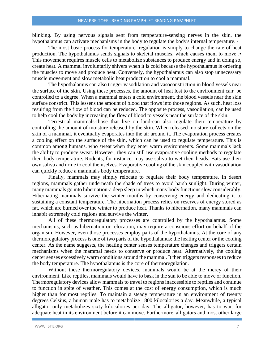blinking. By using nervous signals sent from temperature-sensing nerves in the skin, the hypothalamus can activate mechanisms in the body to regulate the body's internal temperature.  $\cdot$ 

The most basic process for temperature .regulation is simply to change the rate of heat production. The hypothalamus sends signals to skeletal muscles, which causes them to move .• This movement requires muscle cells to metabolize substances to produce energy and in doing so, create heat. A mammal involuntarily shivers when it is cold because the hypothalamus is ordering the muscles to move and produce heat. Conversely, the hypothalamus can also stop unnecessary muscle movement and slow metabolic heat production to cool a mammal.

The hypothalamus can also trigger vasodilation and vasoconstriction in blood vessels near the surface of the skin. Using these processes, the amount of heat lost to the environment can· be controlled to a degree. When a mammal enters a cold environment, the blood vessels near the skin surface constrict. This lessens the amount of blood that flows into those regions. As such, heat loss resulting from the flow of blood can be reduced. The opposite process, vasodilation, can be used to help cool the body by increasing the flow of blood to vessels near the surface of the skin.

Terrestrial mammals-those that live on land-can also regulate their temperature by controlling the amount of moisture released by the skin. When released moisture collects on the skin of a mammal, it eventually evaporates into the air around it. The evaporation process creates a cooling effect on the surface of the skin, which can be used to regulate temperature. This is common among humans. who sweat when they enter warm environments. Some mammals lack the ability to produce sweat. However, they can still use evaporative cooling methods to regulate their body temperature. Rodents, for instance, may use saliva to wet their heads. Bats use their own saliva and urine to cool themselves. Evaporative cooling of the skin coupled with vasodilation can quickly reduce a mammal's body temperature.

Finally, mammals may simply relocate to regulate their body temperature. In desert regions, mammals gather underneath the shade of trees to avoid harsh sunlight. During winter, many mammals go into hibernation-a deep sleep in which many body functions slow considerably. Hibernating mammals survive the winter months by conserving energy and dedicating it to sustaining a constant temperature. The hibernation process relies on reserves of energy stored as fat, which are burned over the winter to produce heat. Thanks to hibernation, many mammals can inhabit extremely cold regions and survive the winter.

All of these thermoregulatory processes are controlled by the hypothalamus. Some mechanisms, such as hibernation or relocation, may require a conscious effort on behalf of the organism. However, even those processes employ parts of the hypothalamus. At the core of any thermoregulatory process is one of two parts of the hypothalamus: the heating center or the cooling center. As the name suggests, the heating center senses temperature changes and triggers certain mechanisms when the mammal needs to conserve or produce heat. Alternatively, the cooling center senses excessively warm conditions around the mammal. It then triggers responses to reduce the body temperature. The hypothalamus is the core of thermoregulation.

Without these thermoregulatory devices, mammals would be at the mercy of their environment. Like reptiles, mammals would have to bask in the sun to be able to move or function. Thermoregulatory devices allow mammals to travel to regions inaccessible to reptiles and continue to function in spite of weather. This comes at the cost of energy consumption, which is much higher than for most reptiles. To maintain a steady temperature in an environment of twenty degrees Celsius, a human male has to metabolize 1800 kilocalories a day. Meanwhile, a typical alligator only metabolizes sixty kilocalories per day. The alligator, however, has to wait for adequate heat in its environment before it can move. Furthermore, alligators and most other large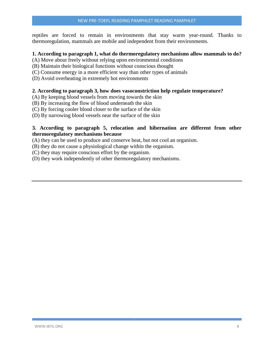reptiles are forced to remain in environments that stay warm year-round. Thanks to thermoregulation, mammals are mobile and independent from their environments.

#### **1. According to paragraph 1, what do thermoregulatory mechanisms allow mammals to do?**

- (A) Move about freely without relying upon environmental conditions
- (B) Maintain their biological functions without conscious thought
- (C) Consume energy in a more efficient way than other types of animals
- (D) Avoid overheating in extremely hot environments

#### **2. According to paragraph 3, how does vasoconstriction help regulate temperature?**

(A) By keeping blood vessels from moving towards the skin

- (B) By increasing the flow of blood underneath the skin
- (C) By forcing cooler blood closer to the surface of the skin
- (D) By narrowing blood vessels near the surface of the skin

#### **3. According to paragraph 5, relocation and hibernation are different from other thermoregulatory mechanisms because**

- (A) they can be used to produce and conserve heat, but not cool an organism.
- (B) they do not cause a physiological change within the organism.
- (C) they may require conscious effort by the organism.
- (D) they work independently of other thermoregulatory mechanisms.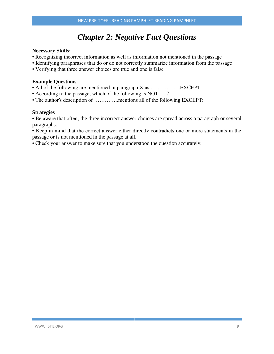# *Chapter 2: Negative Fact Questions*

#### **Necessary Skills:**

- Recognizing incorrect information as well as information not mentioned in the passage
- Identifying paraphrases that do or do not correctly summarize information from the passage
- Verifying that three answer choices are true and one is false

#### **Example Questions**

- All of the following are mentioned in paragraph X as ..........................EXCEPT:
- According to the passage, which of the following is NOT…. ?
- The author's description of …………..mentions all of the following EXCEPT:

#### **Strategies**

• Be aware that often, the three incorrect answer choices are spread across a paragraph or several paragraphs.

• Keep in mind that the correct answer either directly contradicts one or more statements in the passage or is not mentioned in the passage at all.

• Check your answer to make sure that you understood the question accurately.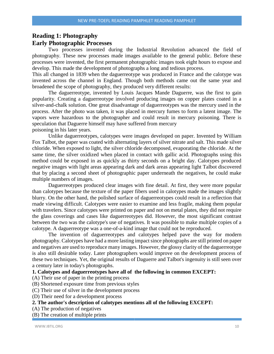## **Reading 1: Photography Early Photographic Processes**

Two processes invented during the Industrial Revolution advanced the field of photography. These new processes made images available to the general public. Before these processes were invented, the first permanent photographic images took eight hours to expose and develop. This made the development of photographs a long and tedious process.

This all changed in 1839 when the daguerreotype was produced in France and the calotype was invented across the channel in England. Though both methods came out the same year and broadened the scope of photography, they produced very different results:

The daguerreotype, invented by Louis Jacques Mande Daguerre, was the first to gain popularity. Creating a daguerreotype involved producing images on copper plates coated in a silver-and-chalk solution. One great disadvantage of daguerreotypes was the mercury used in the process. After the photo was taken, it was placed in mercury fumes to form a latent image. The vapors were hazardous to the photographer and could result in mercury poisoning. There is speculation that Daguerre himself may have suffered from mercury poisoning in his later years.

Unlike daguerreotypes, calotypes were images developed on paper. Invented by William Fox Talbot, the paper was coated with alternating layers of silver nitrate and salt. This made silver chloride. When exposed to light, the silver chloride decomposed, evaporating the chloride. At the same time, the silver oxidized when placed in contact with gallic acid. Photographs using this method could be exposed in as quickly as thirty seconds on a bright day. Calotypes produced negative images with light areas appearing dark and dark areas appearing light Talbot discovered that by placing a second sheet of photographic paper underneath the negatives, he could make multiple numbers of images.

Daguerreotypes produced clear images with fine detail. At first, they were more popular than calotypes because the texture of the paper fibers used in calotypes made the images slightly blurry. On the other hand, the polished surface of daguerreotypes could result in a reflection that rnade viewing difficult. Calotypes were easier to examine and less fragile, making them popular with travelers. Since calotypes were printed on paper and not on metal plates, they did not require the glass coverings and cases like daguerreotypes did. However, the most significant contrast between the two was the calotype's use of negatives. It was possible to make multiple copies of a calotype. A daguerreotype was a one-of-a-kind image that could not be reproduced.

The invention of daguerreotypes and calotypes helped pave the way for modern photography. Calotypes have had a more lasting impact since photographs are still printed on paper and negatives are used to reproduce many images. However, the glossy clarity of the daguerreotype is also still desirable today. Later photographers would improve on the development process of these two techniques. Yet, the original results of Daguerre and Talbot's ingenuity is still seen over a century later in today's photographs.

#### **1. Calotypes and daguerreotypes have all of the following in common EXCEPT:**

(A) Their use of paper in the printing process

- (B) Shortened exposure time from previous styles
- (C) Their use of silver in the development process
- (D) Their need for a development process

## **2. The author's description of calotypes mentions all of the following EXCEPT:**

- (A) The production of negatives
- (B) The creation of multiple prints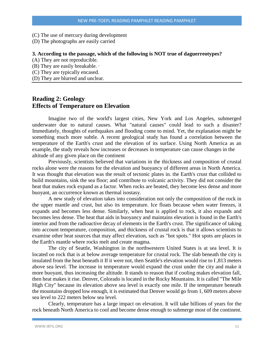- (C) The use of mercury during development
- (D) The photographs are easily carried

#### **3. According to the passage, which of the following is NOT true of daguerreotypes?**

- (A) They are not reproducible.
- (B) They are easily breakable. ·
- (C) They are typically encased.
- (D) They are blurred and unclear.

## **Reading 2: Geology Effects of Temperature on Elevation**

Imagine two of the world's largest cities, New York and Los Angeles, submerged underwater due to natural causes. What "natural causes" could lead to such a disaster? Immediately, thoughts of earthquakes and flooding come to mind. Yet, the explanation might be something much more subtle. A recent geological study has found a correlation between the temperature of the Earth's crust and the elevation of its surface. Using North America as an example, the study reveals how increases or decreases in temperature can cause changes in the altitude of any given place on the continent

Previously, scientists believed that variations in the thickness and composition of crustal rocks alone were the reasons for the elevation and buoyancy of different areas in North America. It was thought that elevation was the result of tectonic plates in. the Earth's crust that collided to build mountains, sink the sea floor; and contribute to volcanic activity. They did not consider the heat that makes rock expand as a factor. When rocks are heated, they become less dense and more buoyant, an occurrence known as thermal isostasy.

A new study of elevation takes into consideration not only the composition of the rock in the upper mantle and crust, but also its temperature. Ice floats because when water freezes, it expands and becomes less dense. Similarly, when heat is applied to rock, it also expands and becomes less dense. The heat that aids in buoyancy and maintains elevation is found in the Earth's interior and from the radioactive decay of elements in the Earth's crust. The significance of taking into account temperature, composition, and thickness of crustal rock is that it allows scientists to examine other heat sources that may affect elevation, such as "hot spots." Hot spots are places in the Earth's mantle where rocks melt and create magma.

The city of Seattle, Washington in the northwestern United States is at sea level. It is located on rock that is at below average temperature for crustal rock. The slab beneath the city is insulated from the heat beneath it If it were not, then Seattle's elevation would rise to I ,813 meters above sea level. The increase in temperature would expand the crust under the city and make it more buoyant, thus increasing the altitude. It stands to reason that if cooling makes elevation fall, then heat makes it rise. Denver, Colorado is located in the Rocky Mountains. It is called "The Mile High City" because its elevation above sea level is exactly one mile. If ihe temperature beneath the mountains dropped low enough, it is estimated that Denver would go from 1, 609 meters above sea level to 222 meters below sea level.

Clearly, temperature has a large impact on elevation. It will take billions of years for the rock beneath North America to cool and become dense enough to submerge most of the continent.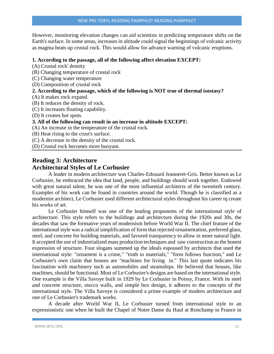However, monitoring elevation changes can aid scientists in predicting temperature shifts on the Earth's surface. In some areas, increases in altitude could signal the beginnings of volcanic activity as magma heats up crustal rock. This would allow for advance warning of volcanic eruptions.

#### **1. According to the passage, all of the following affect elevation EXCEPT:**

(A) Crustal rock' density

- (B) Changing temperature of crustal rock
- (C) Changing water temperature
- (D) Composition of crustal rock

#### **2. According to the passage, which of the following is NOT true of thermal isostasy?**

- (A) It makes rock expand.
- (B) It reduces the density of rock.
- (C) It increases floating capability.
- (D) It creates hot spots.

#### **3. All of the following can result in an increase in altitude EXCEPT:**

(A) An increase in the temperature of the crustal rock.

- (B) Heat rising to the crust's surface.
- (C) A decrease in the density of the crustal rock.

(D) Crustal rock becomes more buoyant.

## **Reading 3: Architecture Architectural Styles of Le Corbusier**

A leader in modern architecture was Charles-Edouard Jeanneret-Gris. Better known as Le Corbusier, he embraced the idea that land, people, and buildings should work together. Endowed with great natural talent, he was one of the most influential architects of the twentieth century. Examples of his work can be found in countries around the world. Though he is classified as a modernist architect, Le Corbusier used different architectural styles throughout his career tq create his works of art.

Le Corbusier himself was one of the leading proponents of the international style of architecture. This style refers to the buildings and architecture during the 1920s and 30s, the decades that saw the formative years of modernism before World War II. The chief feature of the international style was a radical simplification of form that rejected ornamentation, preferred glass, steel, and concrete for building materials, and favored transparency to allow in more natural light. It accepted the use of industrialized mass production techniques and saw construction as the honest expression of structure. Four slogans summed up the ideals espoused by architects that used the international style: "ornament is a crime," "truth to materials," "form follows function," and Le Corbusier's own claim that houses are "machines for living in." This last quote indicates his fascination with machinery such as automobiles and steamships. He believed that houses, like machines, should be functional. Most of Le Corbusier's designs are based on the international style. One example is the Villa Savoye built in 1929 by Le Corbusier in Poissy, France. With its steel and concrete structure, stucco walls, and simple box design, it adheres to the concepts of the international style. The Villa Savoye is considered a prime example of modern architecture and one of Le Corbusier's trademark works.

A decade after World War II, Le Corbusier turned from international style to an expressionistic one when he built the Chapel of Notre Dame du Haul at Ronchamp in France in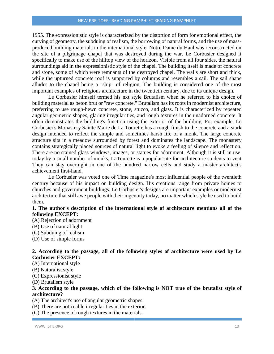1955. The expressionistic style is characterized by the distortion of form for emotional effect, the curving of geometry, the subduing of realism, the borrowing of natural forms, and the use of massproduced building materials in the international style. Notre Dame du Haul was reconstructed on the site of a pilgrimage chapel that was destroyed during the war. Le Corbusier designed it specifically to make use of the hilltop view of the horizon. Visible from all four sides, the natural surroundings aid in the expressionistic style of the chapel. The building itself is made of concrete and stone, some of which were remnants of the destroyed chapel. The walls are short and thick, while the upturned concrete roof is supported by columns and resembles a sail. The sail shape alludes to the chapel being a "ship" of religion. The building is considered one of the most important examples of religious architecture in the twentieth century, due to its unique design.

Le Corbusier himself termed his nxt style Brutalism when he referred to his choice of building material as beton brut or "raw concrete." Brutalism has its roots in modernist architecture, preferring to use rough-hewn concrete, stone, stucco, and glass. It is characterized by repeated angular geometric shapes, glaring irregularities, and rough textures in the unadorned concrete. It often demonstrates the building's function using the exterior of the building. For example, Le Corbusier's Monastery Sainte Marie de La Tourette has a rough finish to the concrete and a stark design intended to reflect the simple and sometimes harsh life of a monk. The large concrete structure sits in a meadow surrounded by forest and dominates the landscape. The monastery contains strategically placed sources of natural light to evoke a feeling of silence and reflection. There are no stained glass windows, images, or statues for adornment. Although it is still in use today by a small number of monks, LaTourette is a popular site for architecture students to visit They can stay overnight in one of the hundred narrow cells and study a master architect's achievement first-hand.

Le Corbusier was voted one of Time magazine's most influential people of the twentieth century because of his impact on building design. His creations range from private homes to churches and government buildings. Le Corbusier's designs are important examples or modernist architecture that still awe people with their ingenuity today, no matter which style he used to build them.

#### **1. The author's description of the international style of architecture mentions all of the following EXCEPT:**

- (A) Rejection of adornment
- (B) Use of natural light
- (C) Subduing of realism
- (D) Use of simple forms

#### **2. According to the passage, all of the following styles of architecture were used by Le Corbusier EXCEPT:**

- (A) International style
- (B) Naturalist style
- (C) Expressionist style

(D) Brutalism style

#### **3. According to the passage, which of the following is NOT true of the brutalist style of architecture?**

(A) The architect's use of angular geometric shapes.

- (B) There are noticeable irregularities in the exterior.
- (C) The presence of rough textures in the materials.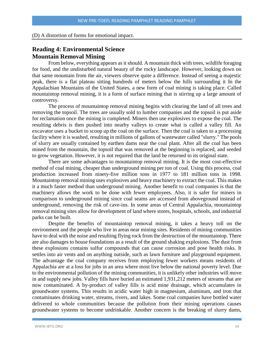#### (D) A distortion of forms for emotional impact.

## **Reading 4: Environmental Science Mountain Removal Mining**

From below, everything appears as it should. A mountain thick with trees, wildlife foraging for food, and the undisturbed natural beauty of the rocky landscape. However, looking down on that same mountain from the air, viewers observe quite a difference. Instead of seeing a majestic peak, there is a flat plateau sitting hundreds of meters below the hills surrounding it In the Appalachian Mountains of the United States, a new form of coal mining is taking place. Called mountaintop removal mining, it is a form of surface mining that is stirring up a large amount of controversy.

The process of mountaintop removal mining begins with clearing the land of all trees and removing the topsoil. The trees are usually sold to lumber companies and the topsoil is put aside for reclamation once the mining is completed. Miners then use explosives to expose the coal. The resulting debris is then pushed into nearby valleys to create what is called a valley fill. An excavator uses a bucket to scoop up the coal on the surface. Then the coal is taken to a processing facility where it is washed, resulting in millions of gallons of wastewater called "slurry." The pools of slurry are usually contained by earthen dams near the coal plant. After all the coal has been mined from the mountain, the topsoil that was removed at the beginning is replaced, and seeded to grow vegetation. However, it is not required that the land be returned to its original state.

There are some advantages to mountaintop removal mining. It is the most cost-effective method of coal mining, cheaper than underground mining per ton of coal. Using this process, coal production increased from ninety-five million tons in 1977 to 181 million tons in 1998. Mountaintop removal mining uses explosives and heavy machinery to extract the coal. This makes it a much faster method than underground mining. Another benefit to coal companies is that the machinery allows the work to be done with fewer employees. Also, it is safer for miners in comparison to underground mining since coal seams are accessed from aboveground instead of underground, removing the risk of cave-ins. In some areas of Central Appalachia, mountaintop removal mining sites allow for development of land where stores, hospitals, schools, and industrial parks can be built.

Despite the benefits of mountaintop removal mining, it takes a heavy toll on the environment and the people who live in areas near mining sites. Residents of mining communities have to deal with the noise and resulting flying rock from the destruction of the mountaintop. There are also damages to house foundations as a result of the ground shaking explosions. The dust from these explosions contains sulfur compounds that can cause corrosion and pose health risks. It settles into air vents and on anything outside, such as lawn furniture and playground equipment. The advantage the coal company receives from employing fewer workers means residents of Appalachia are at a loss for jobs in an area where most live below the national poverty level. Due to the environmental pollution of the mining communities, it is unlikely other industries will move in and supply new jobs. Valley fills have buried an estimated 1,931,212 meters of streams that are now contaminated. A by-product of valley fills is acid mine drainage, which accumulates in groundwater systems. This results in acidic water high in magnesium, aluminum, and iron that contaminates drinking water, streams, rivers, and lakes. Some coal companies have bottled water delivered to whole communities because the pollution from their mining operations causes groundwater systems to become undrinkable. Another concern is the breaking of slurry dams,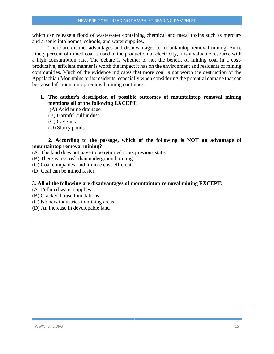which can release a flood of wastewater containing chemical and metal toxins such as mercury and arsenic into homes, schools, and water supplies.

There are distinct advantages and disadvantages to mountaintop removal mining. Since ninety percent of mined coal is used in the production of electricity, it is a valuable resource with a high consumption rate. The debate is whether or not the benefit of mining coal in a costproductive, efficient manner is worth the impact it has on the environment and residents of mining communities. Much of the evidence indicates that more coal is not worth the destruction of the Appalachian Mountains or its residents, especially when considering the potential damage that can be caused if mountaintop removal mining continues.

#### **1. The author's description of possible outcomes of mountaintop removal mining mentions all of the following EXCEPT:**

- (A) Acid mine drainage
- (B) Harmful sulfur dust
- (C) Cave-ins
- (D) Slurry ponds

#### **2. According to the passage, which of the following is NOT an advantage of mountaintop removal mining?**

- (A) The land does not have to be returned to its previous state.
- (B) There is less risk than underground mining.
- (C) Coal companies find it more cost-efficient.
- (D) Coal can be mined faster.

#### **3. All of the following are disadvantages of mountaintop removal mining EXCEPT:**

- (A) Polluted water supplies
- (B) Cracked house foundations
- (C) No new industries in mining areas
- (D) An increase in developable land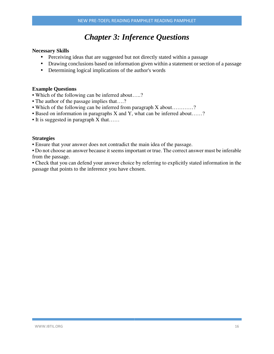# *Chapter 3: Inference Questions*

#### **Necessary Skills**

- Perceiving ideas that are suggested but not directly stated within a passage
- Drawing conclusions based on information given within a statement or section of a passage
- Determining logical implications of the author's words

#### **Example Questions**

- Which of the following can be inferred about…..?
- The author of the passage implies that....?
- Which of the following can be inferred from paragraph X about…………?
- Based on information in paragraphs X and Y, what can be inferred about……?
- It is suggested in paragraph X that……

#### **Strategies**

• Ensure that your answer does not contradict the main idea of the passage.

• Do not choose an answer because it seems important or true. The correct answer must be inferable from the passage.

• Check that you can defend your answer choice by referring to explicitly stated information in the passage that points to the inference you have chosen.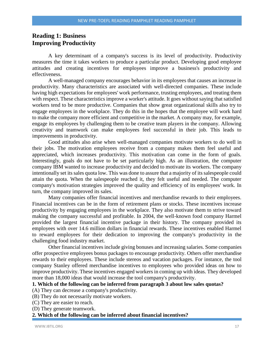## **Reading 1: Business Improving Productivity**

A key determinant of a company's success is its level of productivity. Productivity measures the time it takes workers to produce a particular product. Developing good employee attitudes and creating incentives for employees improve a business's productivity and effectiveness.

A well-managed company encourages behavior in its employees that causes an increase in productivity. Many characteristics are associated with well-directed companies. These include having high expectations for employees' work performance, trusting employees, and treating them with respect. These characteristics improve a worker's attitude. It goes without saying that satisfied workers tend to be more productive. Companies that show great organizational skills also try to engage employees in the workplace. They do this in the hopes that the employee will work hard to make the company more efficient and competitive in the market. A company may, for example, engage its employees by challenging them to be creative team players in the company. Allowing creativity and teamwork can make employees feel successful in their job. This leads to improvements in productivity.

Good attitudes also arise when well-managed companies motivate workers to do well in their jobs. The motivation employees receive from a company makes them feel useful and appreciated, which increases productivity. This motivation can come in the form of goals. Interestingly, goals do not have to be set particularly high. As an illustration, the computer company IBM wanted to increase productivity and decided to motivate its workers. The company intentionally set its sales quota low. This was done to assure that a majority of its salespeople could attain the quota. When the salespeople reached it, they felt useful and needed. The computer company's motivation strategies improved the quality and efficiency of its employees' work. In turn, the company improved its sales.

Many companies offer financial incentives and merchandise rewards to their employees. Financial incentives can be in the form of retirement plans or stocks. These incentives increase productivity by engaging employees in the workplace. They also motivate them to strive toward making the company successful and profitable. In 2004, the well-known food company Harmel provided the largest financial incentive package in their history. The company provided its employees with over 14.6 million dollars in financial rewards. These incentives enabled Harmel to reward employees for their dedication to improving the company's productivity in the challenging food industry market.

Other financial incentives include giving bonuses and increasing salaries. Some companies offer prospective employees bonus packages to encourage productivity. Others offer merchandise rewards to their employees. These include stereos and vacation packages. For instance, the tool company Stanley offered merchandise incentives to employees who provided ideas on how to improve productivity. These incentives engaged workers in coming up with ideas. They developed more than 18,000 ideas that would increase the tool company's productivity.

#### **1. Which of the following can be inferred from paragraph 3 about low sales quotas?**

(A) They can decrease a company's productivity.

(B) They do not necessarily motivate workers.

- (C) They are easier to reach.
- (D) They generate teamwork.

#### **2. Which of the following can be inferred about financial incentives?**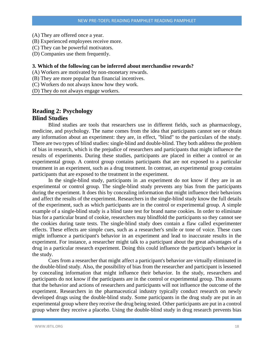- (A) They are offered once a year.
- (B) Experienced employees receive more.
- (C) They can be powerful motivators.
- (D) Companies use them frequently.

#### **3. Which of the following can be inferred about merchandise rewards?**

- (A) Workers are motivated by non-monetary rewards.
- (B) They are more popular than financial incentives.
- (C) Workers do not always know how they work.
- (D) They do not always engage workers.

## **Reading 2: Psychology Blind Studies**

Blind studies are tools that researchers use in different fields, such as pharmacology, medicine, and psychology. The name comes from the idea that participants cannot see or obtain any information about an experiment: they are, in effect, "blind" to the particulars of the study. There are two types of blind studies: single-blind and double-blind. They both address the problem of bias in research, which is the prejudice of researchers and participants that might influence the results of experiments. During these studies, participants are placed in either a control or an experimental group. A control group contains participants that are not exposed to a particular treatment in an experiment, such as a drug treatment. In contrast, an experimental group contains participants that are exposed to the treatment in the experiment.

In the single-blind study, participants in .an experiment do not know if they are in an experimental or control group. The single-blind study prevents any bias from the participants during the experiment. It does this by concealing information that might influence their behaviors and affect the results of the experiment. Researchers in the single-blind study know the full details of the experiment, such as which participants are in the control or experimental group. A simple example of a single-blind study is a blind taste test for brand name cookies. In order to eliminate bias for a particular brand of cookie, researchers may blindfold the participants so they cannot see the cookies during taste tests. The single-blind study does contain a flaw called experimenter effects. These effects are simple cues, such as a researcher's smile or tone of voice. These cues might influence a participant's behavior in an experiment and lead to inaccurate results in the experiment. For instance, a researcher might talk to a participant about the great advantages of a drug in a particular research experiment. Doing this could influence the participant's behavior in the study.

Cues from a researcher that might affect a participant's behavior are virtually eliminated in the double-blind study. Also, the possibility of bias from the researcher and participant is lessened by concealing information that might influence their behavior. In the study, researchers and participants do not know if the participants are in the control or experimental group. This assures that the behavior and actions of researchers and participants will not influence the outcome of the experiment. Researchers in the pharmaceutical industry typically conduct research on newly developed drugs using the double-blind study. Some participants in the drug study are put in an experimental group where they receive the drug being tested. Other participants are put in a control group where they receive a placebo. Using the double-blind study in drug research prevents bias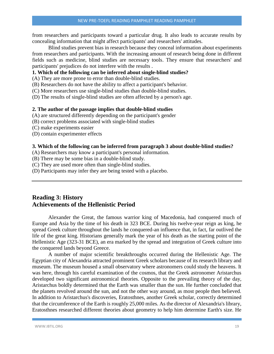from researchers and participants toward a particular drug. It also leads to accurate results by concealing information that might affect participants' and researchers' attitudes.

Blind studies prevent bias in research because they conceal information about experiments from researchers and participants. With the increasing amount of research being done in different fields such as medicine, blind studies are necessary tools. They ensure that researchers' and participants' prejudices do not interfere with the results .

#### **1. Which of the following can be inferred about single-blind studies?**

- (A) They are more prone to error than double-blind studies.
- (B) Researchers do not have the ability to affect a participant's behavior.
- (C) More researchers use single-blind studies than double-blind studies.
- (D) The results of single-blind studies are often affected by a person's age.

#### **2. The author of the passage implies that double-blind studies**

- (A) are structured differently depending on the participant's gender
- (B) correct problems associated with single-blind studies
- (C) make experiments easier
- (D) contain experimenter effects

#### **3. Which of the following can be inferred from paragraph 3 about double-blind studies?**

(A) Researchers may know a participant's personal information.

- (B) There may be some bias in a double-blind study.
- (C) They are used more often than single-blind studies.
- (D) Participants may infer they are being tested with a placebo.

## **Reading 3: History Achievements of the Hellenistic Period**

Alexander the Great, the famous warrior king of Macedonia, had conquered much of Europe and Asia by the time of his death in 323 BCE. During his twelve-year reign as king, he spread Greek culture throughout the lands he conquered-an influence that, in fact, far outlived the life of the great king. Historians generally mark the year of his death as the starting point of the Hellenistic Age (323-31 BCE), an era marked by the spread and integration of Greek culture into the conquered lands beyond Greece.

A number of major scientific breakthroughs occurred during the Hellenistic Age. The Egyptian city of Alexandria attracted prominent Greek scholars because of its research library and museum. The museum housed a small observatory where astronomers could study the heavens. It was here, through his careful examination of the cosmos, that the Greek astronomer Aristarchus developed two significant astronomical theories. Opposite to the prevailing theory of the day, Aristarchus boldly determined that the Earth was smaller than the sun. He further concluded that the planets revolved around the sun, and not the other way around, as most people then believed. In addition to Aristarchus's discoveries, Eratosthnes, another Greek scholar, correctly determined that the circumference of the Earth is roughly 25,000 miles. As the director of Alexandria's library, Eratosthnes researched different theories about geometry to help him determine Earth's size. He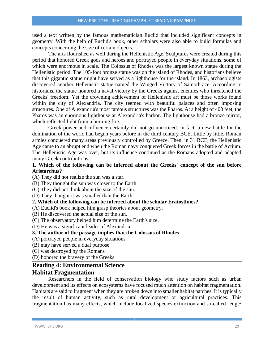used a text written by the famous mathematician Euclid that included significant concepts in geometry. With the help of Euclid's book, other scholars were also able to build formulas and concepts concerning the size of certain objects.

The arts flourished as well during the Hellenistic Age. Sculptures were created during this period that honored Greek gods and heroes and portrayed people in everyday situations, some of which were enormous in scale. The Colossus of Rhodes was the largest known statue during the Hellenistic period. The 105-foot bronze statue was on the island of Rhodes, and historians believe that this gigantic statue might have served as a lighthouse for the island. In 1863, archaeologists discovered another Hellenistic statue named the Winged Victory of Samothrace. According to historians, the statue honored a naval victory by the Greeks against enemies who threatened the Greeks' freedom. Yet the crowning achievement of Hellenistic art must be those works found within the city of Alexandria. The city teemed with beautiful palaces and often imposing structures. One of Alexandria's most famous structures was the Pharos. At a height of 400 feet, the Pharos was an enormous lighthouse at Alexandria's harbor. The lighthouse had a bronze mirror, which reflected light from a burning fire.

Greek power and influence certainly did not go unnoticed. In fact, a new battle for the domination of the world had begun years before in the third century BCE. Little by little, Roman armies conquered many areas previously controlled by Greece. Then, in 31 BCE, the Hellenistic Age came to an abrupt end when the Roman navy conquered Greek forces in the battle of Actium. The Hellenistic Age was over, but its influence continued as the Romans adopted and adapted many Greek contributions.

#### **1. Which of the following can be inferred about the Greeks' concept of the sun before Aristarchus?**

- (A) They did not realize the sun was a star.
- (B) They thought the sun was closer to the Earth.
- (C) They did not think about the size of the sun.
- (D) They thought it was smaller than the Earth.

## **2. Which of the following can be inferred about the scholar Eratosthnes?**

- (A) Euclid's book helped him grasp theories about geometry.
- (B) He discovered the actual size of the sun.
- (C) The observatory helped him determine the Earth's size.
- (D) He was a significant leader of Alexandria.

#### **3. The author of the passage implies that the Colossus of Rhodes**

- (A) portrayed people in everyday situations
- (B) may have served a dual purpose
- (C) was destroyed by the Romans

(D) honored the bravery of the Greeks

## **Reading 4: Environmental Science**

#### **Habitat Fragmentation**

Researchers in the field of conservation biology who study factors such as urban development and its effects on ecosystems have focused much attention on habitat fragmentation. Habitats are said to fragment when they are broken down into smaller habitat patches. It is typically the result of human activity, such as rural development or agricultural practices. This fragmentation has many effects, which include localized species extinction and so-called "edge·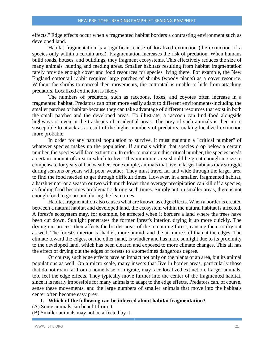effects." Edge effects occur when a fragmented habitat borders a contrasting environment such as developed land.

Habitat fragmentation is a significant cause of localized extinction (the extinction of a species only within a certain area). Fragmentation increases the risk of predation. When humans build roads, houses, and buildings, they fragment ecosystems. This effectively reduces the size of many animals' hunting and feeding areas. Smaller habitats resulting from habitat fragmentation rarely provide enough cover and food resources for species living there. For example, the New England cottontail rabbit requires large patches of shrubs (woody plants) as a cover resource. Without the shrubs to conceal their movements, the cottontail is unable to hide from attacking predators. Localized extinction is likely.

The numbers of predators, such as raccoons, foxes, and coyotes often increase in a fragmented habitat. Predators can often more easily adapt to different environments-including the smaller patches of habitat-because they can take advantage of different resources that exist in both the small patches and the developed areas. To illustrate, a raccoon can find food alongside highways or even in the trashcans of residential areas. The prey of such animals is then more susceptible to attack as a result of the higher numbers of predators, making localized extinction more probable.

In order for any natural population to survive, it must maintain a "critical number" of whatever species makes up the population. If animals within that species drop below a certain number, the species will face extinction. In order to maintain this critical number, the species needs a certain amount of area in which to live. This minimum area should be great enough in size to compensate for years of bad weather. For example, animals that live in larger habitats may struggle during seasons or years with poor weather. They must travel far and wide through the larger area to find the food needed to get through difficult times. However, in a smaller, fragmented habitat, a harsh winter or a season or two with much lower than average precipitation can kill off a species, as finding food becomes problematic during such times. Simply put, in smaller areas, there is not enough food to go around during the lean times.

Habitat fragmentation also causes what are known as edge effects. When a border is created between a natural habitat and developed land, the ecosystem within the natural habitat is affected. A forest's ecosystem may, for example, be affected when it borders a land where the trees have been cut down. Sunlight penetrates the former forest's interior, drying it up more quickly. The drying-out process then affects the border areas of the remaining forest, causing them to dry out as well. The forest's interior is shadier, more humid; and the air more still than at the edges. The climate toward the edges, on the other hand, is windier and has more sunlight due to its proximity to the developed land, which has been cleared and exposed to more climate changes. This all has the effect of drying out the edges of forests to a sometimes dangerous degree.

Of course, such edge effects have an impact not only on the plants of an area, but its animal populations as well. On a micro scale, many insects that Jive in border areas, particularly those that do not roam far from a home base or migrate, may face localized extinction. Larger animals, too, feel the edge effects. They typically move further into the center of the fragmented habitat, since it is nearly impossible for many animals to adapt to the edge effects. Predators can, of course, sense these movements, and the large numbers of smaller animals that move into the habitat's center often become easy prey.

#### **1. Which of the following can be inferred about habitat fragmentation?**

- (A) Some animals can benefit from it.
- (B) Smaller animals may not be affected by it.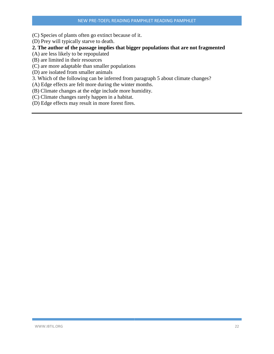(C) Species of plants often go extinct because of it.

(D) Prey will typically starve to death.

## **2. The author of the passage implies that bigger populations that are not fragmented**

(A) are less likely to be repopulated

(B) are limited in their resources

(C) are more adaptable than smaller populations

(D) are isolated from smaller animals

3. Which of the following can be inferred from paragraph 5 about climate changes?

(A) Edge effects are felt more during the winter months.

(B) Climate changes at the edge include more humidity.

(C) Climate changes rarely happen in a habitat.

(D) Edge effects may result in more forest fires.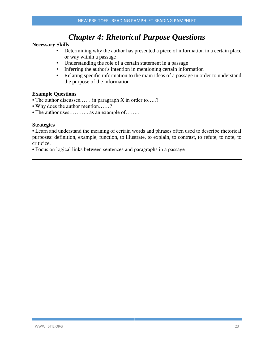# *Chapter 4: Rhetorical Purpose Questions*

#### **Necessary Skills**

- Determining why the author has presented a piece of information in a certain place or way within a passage
- Understanding the role of a certain statement in a passage
- Inferring the author's intention in mentioning certain information
- Relating specific information to the main ideas of a passage in order to understand the purpose of the information

#### **Example Questions**

- The author discusses…… in paragraph X in order to…..?
- Why does the author mention……?
- The author uses........... as an example of........

#### **Strategies**

• Learn and understand the meaning of certain words and phrases often used to describe rhetorical purposes: definition, example, function, to illustrate, to explain, to contrast, to refute, to note, to criticize.

• Focus on logical links between sentences and paragraphs in a passage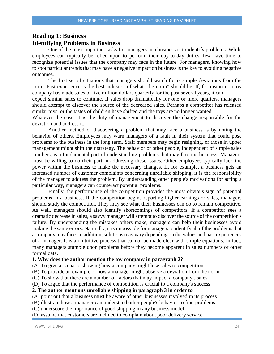## **Reading 1: Business Identifying Problems in Business**

One of the most important tasks for managers in a business is to identify problems. While employees can typically be relied upon to perform their day-to-day duties, few have time to recognize potential issues that the company may face in the future. For managers, knowing how to spot particular trends that may have a negative impact on business is the key to avoiding negative outcomes.

The first set of situations that managers should watch for is simple deviations from the norm. Past experience is the best indicator of what "the norm" should be. If, for instance, a toy company has made sales of five million dollars quarterly for the past several years, it can

expect similar sales to continue. If sales drop dramatically for one or more quarters, managers should attempt to discover the source of the decreased sales. Perhaps a competitor has released similar toys, or the tastes of children have shifted and the toys are no longer wanted.

Whatever the case, it is the duty of management to discover the change responsible for the deviation and address it.

Another method of discovering a problem that may face a business is by noting the behavior of others. Employees may warn managers of a fault in their system that could pose problems to the business in the long term. Staff members may begin resigning, or those in upper management might shift their strategy. The behavior of other people, independent of simple sales numbers, is a fundamental part of understanding problems that may face the business. Managers must be willing to do their part in addressing these issues. Other employees typically lack the power within the business to make the necessary changes. If, for example, a business gets an increased number of customer complaints concerning unreliable shipping, it is the responsibility of the manager to address the problem. By understanding other people's motivations for acting a particular way, managers can counteract potential problems.

Finally, the performance of the competition provides the most obvious sign of potential problems in a business. If the competition begins reporting higher earnings or sales, managers should study the competition. They may see what their businesses can do to remain competitive. As well, managers should also identify shortcomings of competitors. If a competitor sees a dramatic decrease in sales, a savvy manager will attempt to discover the source of the competition's failure. By understanding the mistakes others make, managers can help their businesses avoid making the same errors. Naturally, it is impossible for managers to identify all of the problems that a company may face. In addition, solutions may vary depending on the values and past experiences of a manager. It is an intuitive process that cannot be made clear with simple equations. In fact, many managers stumble upon problems before they become apparent in sales numbers or other formal data.

#### **1. Why does the author mention the toy company in paragraph 2?**

(A) To give a scenario showing how a company might lose sales to competition

(B) To provide an example of how a manager might observe a deviation from the norm

(C) To show that there are a number of factors that may impact a company's sales

(D) To argue that the performance of competition is crucial to a company's success

#### **2. The author mentions unreliable shipping in paragraph 3 in order to**

(A) point out that a business must be aware of other businesses involved in its process

(B) illustrate how a manager can understand other people's behavior to find problems

(C) underscore the importance of good shipping in any business model

(D) assume that customers are inclined to complain about poor delivery service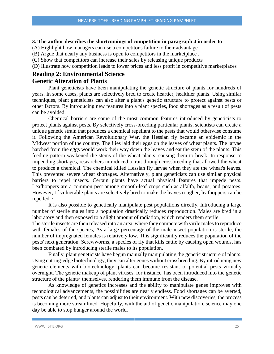#### **3. The author describes the shortcomings of competition in paragraph 4 in order to**

(A) Highlight how managers can use a competitor's failure to their advantage

(B) Argue that nearly any business is open to competitors in the marketplace .

(C) Show that competitors can increase their sales by releasing unique products

(D) Illustrate how competition leads to lower prices and less profit in competitive marketplaces

### **Reading 2: Environmental Science Genetic Alteration of Plants**

Plant geneticists have been manipulating the genetic structure of plants for hundreds of years. In some cases, plants are selectively bred to create heartier, healthier plants. Using similar techniques, plant geneticists can also alter a plant's genetic structure to protect against pests or other factors. By introducing new features into a plant species, food shortages as a result of pests can be avoided.

Chemical barriers are some of the most common features introduced by geneticists to protect plants against pests. By selectively cross-breeding particular plants, scientists can create a unique genetic strain that produces a chemical repellant to the pests that would otherwise consume it. Following the American Revolutionary War, the Hessian fly became an epidemic in the Midwest portion of the country. The flies laid their eggs on the leaves of wheat plants. The larvae hatched from the eggs would work their way down the leaves and eat the stem of the plants. This feeding pattern weakened the stems of the wheat plants, causing them to break. In response to impending shortages, researchers introduced a trait through crossbreeding that allowed the wheat to produce a chemical. The chemical killed Hessian fly larvae when they ate the wheat's leaves. This prevented severe wheat shortages. Alternatively, plant geneticists can use similar physical barriers to repel insects. Certain plants have actual physical features that impede pests. Leafhoppers are a common pest among smooth-leaf crops such as alfalfa, beans, and potatoes. However, 1f vulnerable plants are selectively bred to make the leaves rougher, leafhoppers can be repelled. ·

It is also possible to genetically manipulate pest populations directly. Introducing a large number of sterile males into a population drastically reduces reproduction. Males are bred in a laboratory and then exposed to a slight amount of radiation, which renders them sterile.

The sterile insects are then released into an area, where they compete with virile males to reproduce with females of the species, As a large percentage of the male insect population is sterile, the number of impregnated females is relatively low. This significantly reduces the population of the pests' next generation. Screwworms, a species of fly that kills cattle by causing open wounds, has been combated by introducing sterile males to its population.

Finally, plant geneticists have begun manually manipulating the genetic structure of plants. Using cutting-edge biotechnology, they can alter genes without crossbreeding. By introducing new genetic elements with biotechnology, plants can become resistant to potential pests virtually overnight. The genetic makeup of plant viruses, for instance, has been introduced into the genetic structure of the plants· themselves, rendering them immune from the disease.

As knowledge of genetics increases and the ability to manipulate genes improves with technological advancements, the possibilities are nearly endless. Food shortages can be averted, pests can be deterred, and plants can adjust to their environment. With new discoveries, the process is becoming more streamlined. Hopefully, with the aid of genetic manipulation, science may one day be able to stop hunger around the world.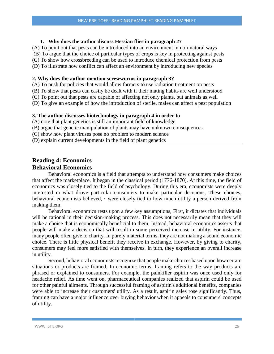#### **1. Why does the author discuss Hessian flies in paragraph 2?**

(A) To point out that pests can be introduced into an environment in non-natural ways

(B) To argue that the choice of particular types of crops is key in protecting against pests

(C) To show how crossbreeding can be used to introduce chemical protection from pests

(D) To illustrate how conflict can affect an environment by introducing new species

#### **2. Why does the author mention screwworms in paragraph 3?**

(A) To push for policies that would allow farmers to use radiation treatment on pests

(B) To show that pests can easily be dealt with if their mating habits are well understood

(C) To point out that pests are capable of affecting not only plants, but animals as well

(D) To give an example of how the introduction of sterile, males can affect a pest population

#### **3. The author discusses biotechnology in paragraph 4 in order to**

(A) note that plant genetics is still an important field of knowledge

(B) argue that genetic manipulation of plants may have unknown consequences

(C) show how plant viruses pose no problem to modern science

(D) explain current developments in the field of plant genetics

## **Reading 4: Economics Behavioral Economics**

Behavioral economics is a field that attempts to understand how consumers make choices that affect the marketplace. It began in the classical period (1776-1870). At this time, the field of economics was closely tied to the field of psychology. During this era, economists were deeply interested in what drove particular consumers to make particular decisions, These choices, behavioral economists believed, · were closely tied to how much utility a person derived from making them.

Behavioral economics rests upon a few key assumptions, First, it dictates that individuals will be rational in their decision-making process. This does not necessarily mean that they will make a choice that is economically beneficial to them. Instead, behavioral economics asserts that people will make a decision that will result in some perceived increase in utility. For instance, many people often give to charity. In purely material terms, they are not making a sound economic choice. There is little physical benefit they receive in exchange. However, by giving to charity, consumers may feel more satisfied with themselves. In turn, they experience an overall increase in utility.

Second, behavioral economists recognize that people make choices based upon how certain situations or products are framed. In economic terms, framing refers to the way products are phrased or explained to consumers. For example, the painkiller aspirin was once used only for headache relief. As time went on, pharmaceutical companies realized that aspirin could be used for other painful ailments. Through successful framing of aspirin's additional benefits, companies were able to increase their customers' utility. As a result, aspirin sales rose significantly. Thus, framing can have a major influence over buying behavior when it appeals to consumers' concepts of utility.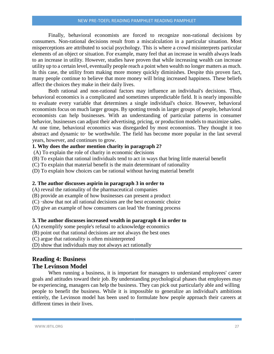Finally, behavioral economists are forced to recognize non-rational decisions by consumers. Non-rational decisions result from a miscalculation in a particular situation. Most misperceptions are attributed to social psychology. This is where a crowd misinterprets particular elements of an object or situation. For example, many feel that an increase in wealth always leads to an increase in utility. However, studies have proven that while increasing wealth can increase utility up to a certain level, eventually people reach a point when wealth no longer matters as much. In this case, the utility from making more money quickly diminishes. Despite this proven fact, many people continue to believe that more money will bring increased happiness. These beliefs affect the choices they make in their daily lives.

Both rational and non-rational factors may influence an individual's decisions. Thus, behavioral economics is a complicated and sometimes unpredictable field. It is nearly impossible to evaluate every variable that determines a single individual's choice. However, behavioral economists focus on much larger groups. By spotting trends in larger groups of people, behavioral economists can help businesses. With an understanding of particular patterns in consumer behavior, businesses can adjust their advertising, pricing, or production models to maximize sales. At one time, behavioral economics was disregarded by most economists. They thought it too abstract and dynamic to· be worthwhile. The field has become more popular in the last several years, however, and continues to grow.

#### **1. Why does the author mention charity in paragraph 2?**

(A) To explain the role of charity in economic decisions

(B) To explain that rational individuals tend to act in ways that bring little material benefit

(C) To explain that material benefit is the main determinant of rationality

(D) To explain how choices can be rational without having material benefit

#### **2. The author discusses aspirin in paragraph 3 in order to**

(A) reveal the rationality of the pharmaceutical companies

(B) provide an example of how businesses can present a product

(C) ·show that not all rational decisions are the best economic choice

(D) give an example of how consumers can lead 'the framing process

#### **3. The author discusses increased wealth in paragraph 4 in order to**

(A) exemplify some people's refusal to acknowledge economics

(B) point out that rational decisions are not always the best ones

(C) argue that rationality is often misinterpreted

(D) show that individuals may not always act rationally

## **Reading 4: Business The Levinson Model**

When running a business, it is important for managers to understand employees' career goals and attitudes toward their job. By understanding psychological phases that employees may be experiencing, managers can help the business. They can pick out particularly able and willing people to benefit the business. While it is impossible to generalize an individual's ambitions entirely, the Levinson model has been used to formulate how people approach their careers at different times in their lives.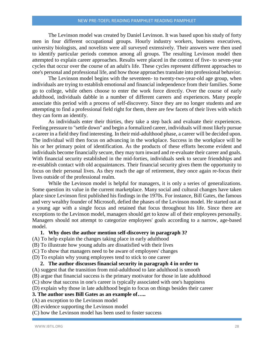The Levinson model was created by Daniel Levinson. It was based upon his study of forty men in four different occupational groups. Hourly industry workers, business executives, university biologists, and novelists were all surveyed extensively. Their answers were then used to identify particular periods common among all groups. The resulting Levinson model then attempted to explain career approaches. Results were placed in the context of five- to seven-year cycles that occur over the course of an adult's life. These cycles represent different approaches to one's personal and professional life, and how those approaches translate into professional behavior.

The Levinson model begins with the seventeen- to twenty-two-year-old age group, when individuals are trying to establish emotional and financial independence from their families. Some go to college, while others choose to enter the work force directly. Over the course of early adulthood, individuals dabble in a number of different careers and experiences. Many people associate this period with a process of self-discovery. Since they are no longer students and are attempting to find a professional field right for them, there are few facets of their lives with which they can form an identify.

As individuals enter their thirties, they take a step back and evaluate their experiences. Feeling pressure to "settle down" and begin a formalized career, individuals will most likely pursue a career in a field they find interesting. In their mid-adulthood phase, a career will be decided upon. The individual will then focus on advancing in the workplace. Success in the workplace will be his or her primary point of identification. As the products of these efforts become evident and individuals become financially secure, they may turn inward and re-evaluate their career and goals. With financial security established in the mid-forties, individuals seek to secure friendships and re-establish contact with old acquaintances. Their financial security gives them the opportunity to focus on their personal lives. As they reach the age of retirement, they once again re-focus their lives outside of the professional realm.

While the Levinson model is helpful for managers, it is only a series of generalizations. Some question its value in the current marketplace. Many social and cultural changes have taken place since Levinson first published his findings in the 1970s. For instance, Bill Gates, the famous and very wealthy founder of Microsoft, defied the phases of the Levinson model. He started out at a young age with a single focus and retained that focus throughout his life. Since there are exceptions to the Levinson model, managers should get to know all of their employees personally. Managers should not attempt to categorize employees' goals according to a narrow, age-based model.

#### **1. Why does the author mention self-discovery in paragraph 3?**

- (A) To help explain the changes taking place in early adulthood
- (B) To illustrate how young adults are dissatisfied with their lives
- (C) To show that managers need to be aware of employees' changes
- (D) To explain why young employees tend to stick to one career

#### **2. The author discusses financial security in paragraph 4 in order to**

- (A) suggest that the transition from mid-adulthood to late adulthood is smooth
- (B) argue that financial success is the primary motivator for those in late adulthood
- (C) show that success in one's career is typically associated with one's happiness

(D) explain why those in late adulthood begin to focus on things besides their career

#### **3. The author uses Bill Gates as an example of…..**

- (A) an exception to the Levinson model
- (B) evidence supporting the Levinson model
- (C) how the Levinson model has been used to foster success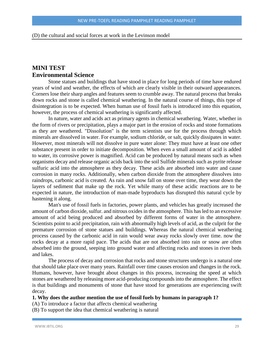#### (D) the cultural and social forces at work in the Levinson model

## **MINI TEST Environmental Science**

Stone statues and buildings that have stood in place for long periods of time have endured years of wind and weather, the effects of which are clearly visible in their outward appearances. Corners lose their sharp angles and features seem to crumble away. The natural process that breaks down rocks and stone is called chemical weathering. In the natural course of things, this type of disintegration is to be expected. When human use of fossil fuels is introduced into this equation, however, the process of chemical weathering is significantly affected.

In nature, water and acids act as primary agents in chemical weathering. Water, whether in the form of rivers or precipitation, plays a major part in the erosion of rocks and stone formations as they are weathered. "Dissolution" is the term scientists use for the process through which minerals are dissolved in water. For example, sodium chloride, or salt, quickly dissipates in water. However, most minerals will not dissolve in pure water alone: They must have at least one other substance present in order to initiate decomposition. When even a small amount of acid is added to water, its corrosive power is magnified. Acid can be produced by natural means such as when organisms decay and release organic acids back into the soil Sulfide minerals such as pyrite release sulfuric acid into the atmosphere as they decay. These acids are absorbed into water and cause corrosion in many rocks. Additionally, when carbon dioxide from the atmosphere dissolves into raindrops, carbonic acid is created. As rain and snow fall on stone over time, they wear down the layers of sediment that make up the rock. Yet while many of these acidic reactions are to be expected in nature, the introduction of man-made byproducts has disrupted this natural cycle by hastening it along.

Man's use of fossil fuels in factories, power plants, and vehicles has greatly increased the amount of carbon dioxide, sulfur. and nitrous oxides in the atmosphere. This has led to an excessive amount of acid being produced and absorbed by different forms of water in the atmosphere. Scientists point to acid precipitation, rain with abnormally high levels of acid, as the culprit for the premature corrosion of stone statues and buildings. Whereas the natural chemical weathering process caused by the carbonic acid in rain would wear away rocks slowly over time. now the rocks decay at a more rapid pace. The acids that are not absorbed into rain or snow are often absorbed into the ground, seeping into ground water and affecting rocks and stones in river beds and lakes.

The process of decay and corrosion that rocks and stone structures undergo is a natural one that should take place over many years. Rainfall over time causes erosion and changes in the rock. Humans, however, have brought about changes in this process, increasing the speed at which stones are weathered by releasing more acid-producing compounds into the atmosphere. The effect is that buildings and monuments of stone that have stood for generations are experiencing swift decay.

#### **1. Why does the author mention the use of fossil fuels by humans in paragraph 1?**

(A) To introduce a factor that affects chemical weathering

(B) To support the idea that chemical weathering is natural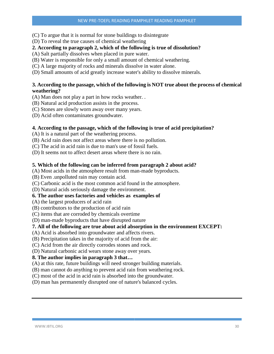(C) To argue that it is normal for stone buildings to disintegrate

(D) To reveal the true causes of chemical weathering

#### **2. According to paragraph 2, which of the following is true of dissolution?**

(A) Salt partially dissolves when placed in pure water.

- (B) Water is responsible for only a small amount of chemical weathering.
- (C) A large majority of rocks and minerals dissolve in water alone.
- (D) Small amounts of acid greatly increase water's ability to dissolve minerals.

#### **3. According to the passage, which of the following is NOT true about the process of chemical weathering?**

(A) Man does not play a part in how rocks weather. .

- (B) Natural acid production assists in the process.
- (C) Stones are slowly worn away over many years.
- (D) Acid often contaminates groundwater.

#### **4. According to the passage, which of the following is true of acid precipitation?**

(A) It is a natural part of the weathering process.

- (B) Acid rain does not affect areas where there is no pollution.
- (C) The acid in acid rain is due to man's use of fossil fuels.
- (D) It seems not to affect desert areas where there is no rain.

#### **5. Which of the following can be inferred from paragraph 2 about acid?**

(A) Most acids in the atmosphere result from man-made byproducts.

(B) Even .unpolluted rain may contain acid.

(C) Carbonic acid is the most common acid found in the atmosphere.

(D) Natural acids seriously damage the environment.

#### **6. The author uses factories and vehicles as examples of**

(A) the largest producers of acid rain

(B) contributors to the production of acid rain

(C) items that are corroded by chemicals overtime

(D) man-made byproducts that have disrupted nature

#### **7. All of the following are true about acid absorption in the environment EXCEPT:**

(A) Acid is absorbed into groundwater and affects rivers.

(B) Precipitation takes in the majority of acid from the air:

(C) Acid from the air directly corrodes stones and rock.

(D) Natural carbonic acid wears stone away over years.

#### **8. The author implies in paragraph 3 that…**

(A) at this rate, future buildings will need stronger building materials.

(B) man cannot do anything to prevent acid rain from weathering rock.

(C) most of the acid in acid rain is absorbed into the groundwater.

(D) man has permanently disrupted one of nature's balanced cycles.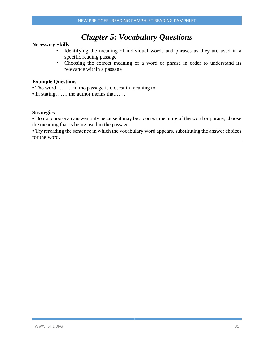# *Chapter 5: Vocabulary Questions*

#### **Necessary Skills**

- Identifying the meaning of individual words and phrases as they are used in a specific reading passage
- Choosing the correct meaning of a word or phrase in order to understand its relevance within a passage

#### **Example Questions**

- The word……… in the passage is closest in meaning to
- In stating……, the author means that……

#### **Strategies**

• Do not choose an answer only because it may be a correct meaning of the word or phrase; choose the meaning that is being used in the passage.

• Try rereading the sentence in which the vocabulary word appears, substituting the answer choices for the word.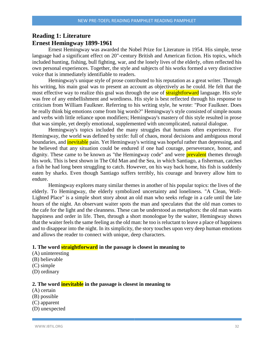## **Reading 1: Literature Ernest Hemingway 1899-1961**

Ernest Hemingway was awarded the Nobel Prize for Literature in 1954. His simple, terse language had a significant effect on 20"-century British and American fiction. His topics, which included hunting, fishing, bull fighting, war, and the lonely lives of the elderly, often reflected his own personal experiences. Together, the style and subjects of his works formed a very distinctive voice that is immediately identifiable to readers.

Hemingway's unique style of prose contributed to his reputation as a great writer. Through his writing, his main goal was to present an account as objectively as he could. He felt that the most effective way to realize this goal was through the use of **straightforward** language. His style was free of any embellishment and wordiness. His style is best reflected through his response to criticism from William Faulkner. Referring to his writing style, he wrote: "Poor Faulkner. Does he really think big emotions come from big words?" Hemingway's style consisted of simple nouns and verbs with little reliance upon modifiers; Hemingway's mastery of this style resulted in prose that was simple, yet deeply emotional, supplemented with uncomplicated, natural dialogue.

Hemingway's topics included the many struggles that humans often experience. For Hemingway, the world was defined by strife: full of chaos, moral decisions and ambiguous moral boundaries, and **inevitable** pain. Yet Hemingway's writing was hopeful rather than depressing, and he believed that any situation could be endured if one had courage, perseverance, honor, and dignity. These came to be known as "the Hemingway code" and were **prevalent** themes through his work. This is best shown in The Old Man and the Sea, in which Santiago, a fisherman, catches a fish he had long been struggling to catch. However, on his way back home, his fish is suddenly eaten by sharks. Even though Santiago suffers terribly, his courage and bravery allow him to endure.

Hemingway explores many similar themes in another of his popular topics: the lives of the elderly. To Hemingway, the elderly symbolized uncertainty and loneliness. "A Clean, Well-Lighted Place" is a simple short story about an old man who seeks refuge in a cafe until the late hours of the night. An observant waiter spots the man and speculates that the old man comes to the cafe for the light and the cleanness. These can be understood as metaphors: the old man wants happiness and order in life. Then, through a short monologue by the waiter, Hemingway shows that the waiter feels the same feeling as the old man: he too is reluctant to leave a place of happiness and to disappear into the night. In its simplicity, the story touches upon very deep human emotions and allows the reader to connect with unique, deep characters.

#### **1. The word straightforward in the passage is closest in meaning to**

- (A) uninteresting
- (B) believable
- (C) simple
- (D) ordinary

#### **2. The word inevitable in the passage is closest in meaning to**

- (A) certain
- (B) possible
- (C) apparent
- (D) unexpected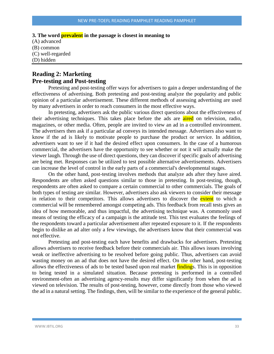**3. The word prevalent in the passage is closest in meaning to** (A) advanced (B) common (C) well-regarded (D) hidden

## **Reading 2: Marketing Pre-testing and Post-testing**

Pretesting and post-testing offer ways for advertisers to gain a deeper understanding of the effectiveness of advertising. Both pretesting and post-testing analyze the popularity and public opinion of a particular advertisement. These different methods of assessing advertising are used by many advertisers in order to reach consumers in the most effective ways.

In pretesting, advertisers ask the public various direct questions about the effectiveness of their advertising techniques. This takes place before the ads are aired on television, radio, magazines, or other media. Often, people are invited to view an ad in a controlled environment. The advertisers then ask if a particular ad conveys its intended message. Advertisers also want to know if the ad is likely to motivate people to purchase the product or service. In addition, advertisers want to see if it had the desired effect upon consumers. In the case of a humorous commercial, the advertisers have the opportunity to see whether or not it will actually make the viewer laugh. Through the use of direct questions, they can discover if specific goals of advertising are being met. Responses can be utilized to test possible alternative advertisements. Advertisers can increase the level of control in the early parts of a commercial's developmental stages.

On the other hand, post-testing involves methods that analyze ads after they have aired. Respondents are often asked questions similar to those in pretesting. In post-testing, though, respondents are often asked to compare a certain commercial to other commercials. The goals of both types of testing are similar. However, advertisers also ask viewers to consider their message in relation to their competitors. This allows advertisers to discover the extent to which a commercial will be remembered amongst competing ads. This feedback from recall tests gives an idea of how memorable, and thus impactful, the advertising technique was. A commonly used means of testing the efficacy of a campaign is the attitude test. This test evaluates the feelings of the respondents toward a particular advertisement after repeated exposure to it. If the respondents begin to dislike an ad alter only a few viewings, the advertisers know that their commercial was not effective.

Pretesting and post-testing each have benefits and drawbacks for advertisers. Pretesting allows advertisers to receive feedback before their commercials air. This allows issues involving weak or ineffective advertising to be resolved before going public. Thus, advertisers can avoid wasting money on an ad that does not have the desired effect. On the other hand, post-testing allows the effectiveness of ads to be tested based upon real market findings. This is in opposition to being tested in a simulated situation. Because pretesting is performed in a controlled environment-often an advertising agency-results may differ significantly from when the ad is viewed on television. The results of post-testing, however, come directly from those who viewed the ad in a natural setting. The findings, then, will be similar to the experience of the general public.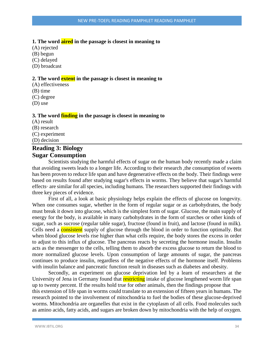#### **1. The word aired in the passage is closest in meaning to**

(A) rejected

(B) begun

(C) delayed

(D) broadcast

#### **2. The word extent in the passage is closest in meaning to**

(A) effectiveness

(B) time

(C) degree

(D) use

#### **3. The word finding in the passage is closest in meaning to**

(A) result (B) research

(C) experiment

(D) decision

## **Reading 3: Biology Sugar Consumption**

Scientists studying the harmful effects of sugar on the human body recently made a claim that avoiding sweets leads to a longer life. According to their research ,the consumption of sweets has been proven to reduce life span and have degenerative effects on the body. Their findings were based on results found after studying sugar's effects in worms. They believe that sugar's harmful effects· are similar for all species, including humans. The researchers supported their findings with three key pieces of evidence.

First of all, a look at basic physiology helps explain the effects of glucose on longevity. When one consumes sugar, whether in the form of regular sugar or as carbohydrates, the body must break it down into glucose, which is the simplest form of sugar. Glucose, the main supply of energy for the body, is available in many carbohydrates in the form of starches or other kinds of sugar, such as sucrose (regular table sugar), fructose (found in fruit), and lactose (found in milk). Cells need a **consistent** supply of glucose through the blood in order to function optimally. But when blood glucose levels rise higher than what cells require, the body stores the excess in order to adjust to this influx of glucose. The pancreas reacts by secreting the hormone insulin. Insulin acts as the messenger to the cells, telling them to absorb the excess glucose to return the blood to more normalized glucose levels. Upon consumption of large amounts of sugar, the pancreas continues to produce insulin, regardless of the negative effects of the hormone itself. Problems with insulin balance and pancreatic function result in diseases such as diabetes and obesity.

Secondly, an experiment on glucose deprivation led by a learn of researchers at the University of Jena in Germany found that **restricting** intake of glucose lengthened worm life span up to twenty percent. If the results hold true for other animals, then the findings propose that this extension of life span in worms could translate to an extension of fifteen years in humans. The research pointed to the involvement of mitochondria to fuel the bodies of these glucose-deprived worms. Mitochondria are organelles that exist in the cytoplasm of all cells. Food molecules such as amino acids, fatty acids, and sugars are broken down by mitochondria with the help of oxygen.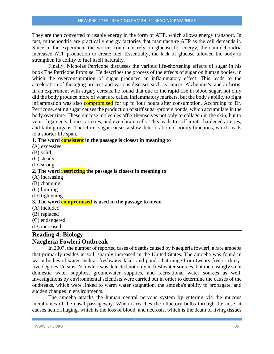They are then converted to usable energy in the form of ATP, which allows energy transport. In fact, mitochondria are practically energy factories that manufacture ATP as the cell demands it. Since in the experiment the worms could not rely on glucose for energy, their mitochondria increased ATP production to create fuel. Essentially, the lack of glucose allowed the body to strengthen its ability to fuel itself naturally.

Finally, Nicholas Perricone discusses the various life-shortening effects of sugar in his book The Perricone Promise. He describes the process of the effects of sugar on human bodies, in which the overconsumption of sugar produces an inflammatory effect. This leads to the acceleration of the aging process and various diseases such as cancer, Alzheimer's, and arthritis. In an experiment with sugary cereals, he found that due to the rapid rise in blood sugar, not only did the body produce more of what are called inflammatory markers, but the body's ability to fight inflammation was also **compromised** for up to four hours after consumption. According to Dr. Perricone, eating sugar causes the production of stiff sugar-protein bonds, which accumulate in the body over time. These glucose molecules affix themselves not only to collagen in the skin, but to veins, ligaments, bones, arteries, and even brain cells. This leads to stiff joints, hardened arteries, and failing organs. Therefore, sugar causes a slow deterioration of bodily functions, which leads to a shorter life span.

## **1. The word consistent in the passage is closest in meaning to**

(A) excessive (B) solid (C) steady (D) strong **2. The word restricting the passage is closest in meaning to** (A) increasing (B) changing (C) limiting (D) tightening **3. The word compromised is used in the passage to mean** (A) included (B) replaced (C) endangered (D) increased

## **Reading 4: Biology Naegleria Fowleri Outbreak**

In 2007, the number of reported cases of deaths caused by Naegleria fowleri, a rare amoeba that primarily resides in soil, sharply increased in the United States. The amoeba was found in warm bodies of water such as freshwater lakes and ponds that range from twenty-five to thirtyfive degrees Celsius: N fowleri was detected not only in freshwater sources, but increasingly so in domestic water supplies, groundwater supplies, and recreational water sources as well. Investigations by environmental scientists were carried out in order to determine the causes of the outbreaks, which were linked to warm water stagnation, the amoeba's ability to propagate, and sudden changes in environments.

The amoeba attacks the human central nervous system by entering via the mucous membranes of the nasal passageway. When it reaches the olfactory bulbs through the nose, it causes hemorrhaging, which is the loss of blood, and necrosis, which is the death of living tissues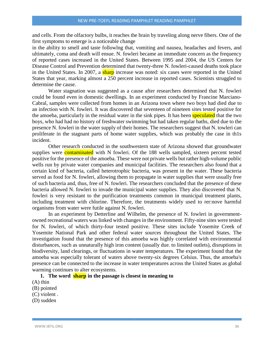and cells. From the olfactory bulbs, it reaches the brain by traveling along nerve fibers. One of the first symptoms to emerge is a noticeable change

in the ability to smell and taste followlng that, vomiting and nausea, headaches and fevers, and ultimately, coma and death will ensue. N. fowleri became an immediate concern as the frequency of reported cases increased in the United States. Between 1995 and 2004, the US Centers for Disease Control and Prevention determined that twenty-three N. fowleri-caused deaths took place in the United States. In 2007, a sharp increase was noted: six cases were reported in the United States that year, marking almost a 250 percent increase in reported cases. Scientists struggled to determine the cause.

Water stagnation was suggested as a cause after researchers determined that N. fowleri could be found even in domestic dwellings. In an experiment conducted by Francine Marciano-Cabral, samples were collected from homes in an Arizona town where two boys had died due to an infection with N. fowleri. It was discovered that seventeen of nineteen sites tested positive for the amoeba, particularly in the residual water in the sink pipes. It has been speculated that the two boys, who had had no history of freshwater swimming but had taken regular baths, died due to the presence N. fowleri in the water supply of their homes. The researchers suggest that N. towleri can proliferate in the stagnant parts of home water supplies, which was probably the case in th1s incident.

Other research conducted in the southwestern state of Arizona showed that groundwater supplies were **contaminated** with N fowleri. Of the 188 wells sampled, sixteen percent tested positive for the presence of the amoeba. These were not private wells but rather high-volume public wells run by private water companies and municipal facilities. The researchers also found that a certain kind of bacteria, called heterotrophic bacteria, was present in the water. These bacteria served as food for N. fowleri, allowing them to propagate in water supplies that were usually free of such bacteria and, thus, free of N. fowleri. The researchers concluded that the presence of these bacteria allowed N. fowleri to invade the municipal water supplies. They also discovered that N. fowleri is very resistant to the purification treatments common in municipal treatment plants, including treatment with chlorine. Therefore, the treatments widely used to rer:nove harmful organisms from water were futile against N. fowleri.

In an experiment by Detterline and Wilhelm, the presence of N. fowleri in governmentowned recreational waters was linked with changes in the environment. Fifty-nine sites were tested for N. fowleri, of which thirty-four tested positive. These sites include Yosemite Creek of Yosemite National Park and other federal water sources throughout the United States. The investigation found that the presence of this amoeba was highly correlated with environmental disturbances, such as unnaturally high iron content (usually due. to limited outlets), disruptions in biodiversity, land clearings, or fluctuations in water temperatures. The experiment found that the amoeba was especially tolerant of waters above twenty-six degrees Celsius. Thus, the amoeba's presence can be connected to the increase in water temperatures across the United States as global warming continues to alter ecosystems.

#### **1. The word sharp in the passage is closest in meaning to**

(A) thin

(B) pointed

(C) violent .

(D) sudden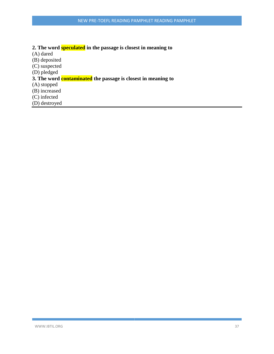# **2. The word speculated in the passage is closest in meaning to**

(A) dared

(B) deposited

(C) suspected

(D) pledged

# **3. The word contaminated the passage is closest in meaning to**

(A) stopped

(B) increased

(C) infected

(D) destroyed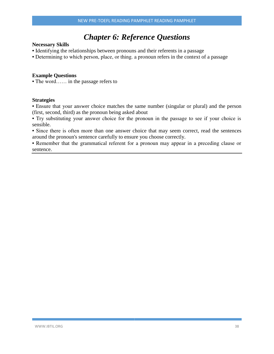# *Chapter 6: Reference Questions*

#### **Necessary Skills**

- Identifying the relationships between pronouns and their referents in a passage
- Determining to which person, place, or thing. a pronoun refers in the context of a passage

#### **Example Questions**

• The word…… in the passage refers to

#### **Strategies**

• Ensure that your answer choice matches the same number (singular or plural) and the person (first, second, third) as the pronoun being asked about

• Try substituting your answer choice for the pronoun in the passage to see if your choice is sensible.

• Since there is often more than one answer choice that may seem correct, read the sentences around the pronoun's sentence carefully to ensure you choose correctly.

• Remember that the grammatical referent for a pronoun may appear in a preceding clause or sentence.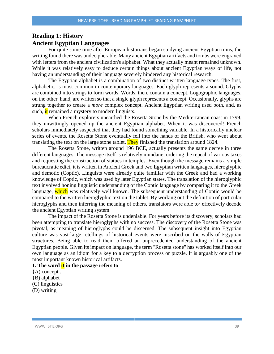# **Reading 1: History Ancient Egyptian Languages**

For quite some time after European historians began studying ancient Egyptian ruins, the writing found there was undecipherable. Many ancient Egyptian artifacts and tombs were engraved with letters from the ancient civilization's alphabet. What they actually meant remained unknown. While it was relatively easy to deduce certain things about ancient Egyptian ways of life, not having an understanding of their language severely hindered any historical research.

The Egyptian alphabet is a combination of two distinct written language types. The first, alphabetic, is most common in contemporary languages. Each glyph represents a sound. Glyphs are combined into strings to form words. Words, then, contain a concept. Logographic languages, on the other hand, are written so that a single glyph represents a concept. Occasionally, glyphs are strung together to create a *more* complex concept. Ancient Egyptian writing used both, and, as such, it remained a mystery to modern linguists.

When French explorers unearthed the Rosetta Stone by the Mediterranean coast in 1799, they unwittingly opened up the ancient Egyptian alphabet. When it was discovered! French scholars immediately suspected that they had found something valuable. In a historically unclear series of events, the Rosetta Stone eventually fell into the hands of the British, who went about translating the text on the large stone tablet. They finished the translation around 1824.

The Rosetta Stone, written around 196 BCE, actually presents the same decree in three different languages. The message itself is relatively mundane, ordering the repeal of various taxes and requesting the construction of statues in temples. Even though the message remains a simple bureaucratic edict, it is written in Ancient Greek and two Egyptian written languages, hieroglyphic and demotic (Coptic). Linguists were already quite familiar with the Greek and had a working knowledge of Coptic, which was used by later Egyptian states. The translation of the hieroglyphic text involved honing linguistic understanding of the Coptic language by comparing it to the Greek language, which was relatively well known. The subsequent understanding of Coptic would be compared to the written hieroglyphic text on the tablet. By working out the definition of particular hieroglyphs and then inferring the meaning of others, translators were able to effectively decode the ancient Egyptian writing system.

The impact of the Rosetta Stone is undeniable. For years before its discovery, scholars had been attempting to translate hieroglyphs with no success. The discovery of the Rosetta Stone was pivotal, as meaning of hieroglyphs could be discerned. The subsequent insight into Egyptian culture was vast-large retellings of historical events were inscribed on the walls of Egyptian structures. Being able to read them offered an unprecedented understanding of the ancient Egyptian people. Given its impact on language, the term "Rosetta stone" has worked itself into our own language as an idiom for a key to a decryption process or puzzle. It is arguably one of the most important known historical artifacts.

#### **1. The word it in the passage refers to**

- {A) concept .
- {B) alphabet
- (C) linguistics
- (D) writing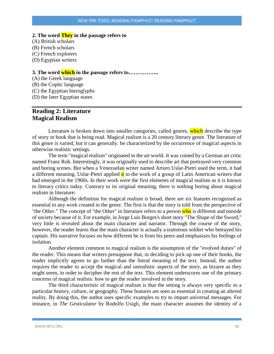#### **2. The word They in the passage refers to**

- (A) British scholars
- (B) French scholars
- (C) French explorers
- (D) Egyptian writers

#### **3. The word which in the passage refers to……………..**

(A) the Greek language (B) the Coptic language (C) the Egyptian hieroglyphs (D) the later Egyptian states

# **Reading 2: Literature Magical Realism**

Literature is broken down into smaller categories, called genres, which describe the type of story or book that is being read. Magical realism is a 20 century literary genre. The literature of this genre is varied, but it can generally. be characterized by the occurrence of magical aspects in otherwise realistic settings.

The term "magical realism" originated in the art world. It was coined by a German art critic named Franz Roh. Interestingly, it was originally used to describe art that portrayed very common and boring scenes. But when a Venezuelan writer named Arturo Uslar-Pietri used the term, it had a different meaning. Uslar-Pietri applied it to the work of a group of Latin American writers that had emerged in the 1960s. In their work were the first elements of magical realism as it is known to literary critics today. Contrary to its original meaning, there is nothing boring about magical realism in literature:

Although the definition for magical realism is broad, there are six features recognized as essential to any work created in the genre. The first is that the story is told from the perspective of "the Other." The concept of "the Other" in literature refers to a person who is different and outside of society because of it. For example, in Jorge Luis Borges's short story "The Shape of the Sword," very little is revealed about the main character and narrator. Through the course of the story, however, the reader learns that the main character is actually a traitorous soldier who betrayed his captain. His narrative focuses on how different he is from his peers and emphasizes his feelings of isolation.

Another element common to magical realism is the assumption of the "evolved duties" of the reader. This means that writers presuppose that, in deciding to pick up one of their books, the reader implicitly agrees to go farther than the literal meaning of the text. Instead, the author requires the reader to accept the magical and unrealistic aspects of the story, as bizarre as they might seem, in order to decipher the rest of the text. This element underscores one of the primary concerns of magical realists: how to get the reader involved in the story.

The third characteristic of magical realism is that the setting is always very specific to a particular history, culture, or geography. These features are seen as essential in creating an altered reality. By doing this, the author uses specific examples to try to impart universal messages. For instance, in *The Gesticulator* by Rodolfo Usigli, the main character assumes the identity of a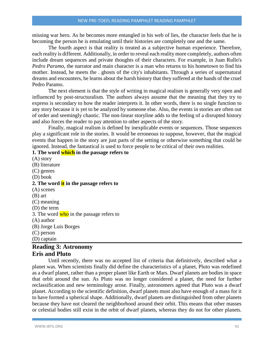missing war hero. As he becomes more entangled in his web of lies, the character feels that he is becoming the person he is emulating until their histories are completely one and the same.

The fourth aspect is that reality is treated as a subjective human experience. Therefore, each reality is different. Additionally, in order to reveal each reality more completely, authors often include dream sequences and private thoughts of their characters. For example, in Juan Rullo's *Pedro Paramo,* the narrator and main character is a man who returns to his hometown to find his mother. Instead, he meets the . ghosts of the city's inhabitants. Through a series of supernatural dreams and encounters, he learns about the harsh history that they suffered at the hands of the cruel Pedro Paramo.

The next element is that the style of writing in magical realism is generally very open and influenced by post-structuralism. The authors always assume that the meaning that they try to express is secondary to how the reader interprets it. In other words, there is no single function to any story because it is yet to be analyzed by someone else. Also, the events in stories are often out of order and seemingly chaotic. The non-linear storyline adds to the feeling of a disrupted history and also forces the reader to pay attention to other aspects of the story.

Finally, magical realism is defined by inexplicable events or sequences. Those sequences play a significant role in the stories. It would be erroneous to suppose, however, that the magical events that happen in the story are just parts of the setting or otherwise something that could be ignored. Instead, the fantastical is used to force people to be critical of their own realities.

#### **1. The word which in the passage refers to**

(A) story (B) literature (C) genres (D) book **2. The word it in the passage refers to** (A) scenes (B) art (C) meaning (D) the term 3. The word who in the passage refers to (A) author (B) Jorge Luis Borges (C) person (D) captain

# **Reading 3: Astronomy Eris and Pluto**

Until recently, there was no accepted list of criteria that definitively, described what a planet was. When scientists finally did define the characteristics of a planet, Pluto was redefined as a dwarf planet, rather than a proper planet like Earth or Mars. Dwarf planets are bodies in space that orbit around the sun. As Pluto was no longer considered a planet, the need for further reclassification and new terminology arose. Finally, astronomers agreed that Pluto was a dwarf planet. According to the scientific definition, dwarf planets must also have enough of a mass for it to have formed a spherical shape. Additionally, dwarf planets are distinguished from other planets because they have not cleared the neighborhood around their orbit. This means that other masses or celestial bodies still exist in the orbit of dwarf planets, whereas they do not for other planets.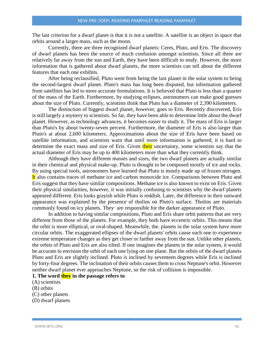The last criterion for a dwarf planet is that it is not a satellite. A satellite is an object in space that orbits around a larger mass, such as the moon.

Currently, there are three recognized dwarf planets: Ceres, Pluto, and Eris. The discovery of dwarf planets has been the source of much confusion amongst scientists. Since all three are relatively far away from the sun and Earth, they have been difficult to study. However, the more information that is gathered about dwarf planets, the more scientists can tell about the different features that each one exhibits.

After being reclassified, Pluto went from being the last planet in the solar system to being the second-largest dwarf planet. Pluto's mass has long been disputed, but information gathered from satellites has led to more accurate formulations. It is believed that Pluto is less than a quarter of the mass of the Earth. Furthermore, by studying eclipses, astronomers can make good guesses about the size of Pluto. Currently, scientists think that Pluto has a diameter of 2,390 kilometers.

The distinction of biggest dwarf planet, however, goes to Eris. Recently discovered, Eris is still largely a mystery to scientists. So far, they have been able to determine little about the dwarf planet. However, as technology advances, it becomes easier to study it. The mass of Eris is larger than Pluto's by about twenty-seven percent. Furthermore, the diameter of Eris is also larger than Pluto's at about 2,600 kilometers. Approximations about the size of Eris have been based on satellite information, and scientists warn that until more information is gathered, it is hard to determine the exact mass and size of Eris. Given their uncertainty, some scientists say that the actual diameter of Eris may be up to 400 kilometers more than what they currently think.

Although they have different masses and sizes, the two dwarf planets are actually similar in their chemical and physical make-up. Pluto is thought to be composed mostly of ice and rocks. By using special tools, astronomers have learned that Pluto is mostly made up of frozen nitrogen. It also contains traces of methane ice and carbon monoxide ice. Comparisons between Pluto and Eris suggest that they have similar compositions. Methane ice is also known to exist on Eris. Given their physical similarities, however, it was initially confusing to scientists why the dwarf planets appeared different. Eris looks grayish while Pluto is reddish. Later, the difference in their outward appearance was explained by the presence of tholins on Pluto's surface. Tholins are materials commonly found on icy planets. They· are responsible for the darker appearance of Pluto.

In addition to having similar compositions, Pluto and Eris share orbit patterns that are very different from those of the planets. For example, they both have eccentric orbits. This means that the orbit is more elliptical, or oval-shaped. Meanwhile, the. planets in the solar system have more circular orbits. The exaggerated ellipses of the dwarf planets' orbits cause each one to experience extreme temperature changes as they get closer or farther away from the sun. Unlike other planets, the orbits of Pluto and Eris are also tilted. If one imagines the planets in the solar system, it would be accurate to envision the orbit of each one lying on one plane. But the orbits of the dwarf planets Pluto and Eris are slightly inclined. Pluto is inclined by seventeen degrees while Eris is inclined by forty-four degrees. The inclination of their orbits causes them to cross Neptune's orbit. However neither dwarf planet ever approaches Neptune, so the risk of collision is impossible.

#### **1. The word they in the passage refers to**

(A) scientists

(B) orbits

- (C) other planets
- (D) dwarf planets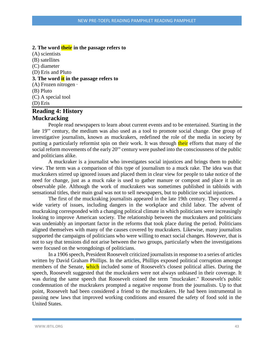#### **2. The word their in the passage refers to**

(A) scientists (B) satellites (C) diameter (D) Eris and Pluto **3. The word it in the passage refers to** (A) Frozen nitrogen · (B) Pluto (C) A special tool (D) Eris

# **Reading 4: History Muckracking**

People read newspapers to learn about current events and to be entertained. Starting in the late 19'" century, the medium was also used as a tool to promote social change. One group of investigative journalists, known as muckrakers, redefined the role of the media in society by putting a particularly reformist spin on their work. It was through their efforts that many of the social reform movements of the early 20'" century were pushed into the consciousness of the public and politicians alike.

A muckraker is a journalist who investigates social injustices and brings them to public view. The term was a comparison of this type of journalism to a muck rake. The idea was that muckrakers stirred up ignored issues and placed them in clear view for people to take notice of the need for change, just as a muck rake is used to gather manure or compost and place it in an observable pile. Although the work of muckrakers was sometimes published in tabloids with sensational titles, their main goal was not to sell newspapers, but to publicize social injustices.

The first of the muckraking journalists appeared in the late 19th century. They covered a wide variety of issues, including dangers in the workplace and child labor. The advent of muckraking corresponded with a changing political climate in which politicians were increasingly looking to improve American society. The relationship between the muckrakers and politicians was undeniably an important factor in the reforms that took place during the period. Politicians aligned themselves with many of the causes covered by muckrakers. Likewise, many journalists supported the campaigns of politicians who were willing to enact social changes. However, that is not to say that tensions did not arise between the two groups, particularly when the investigations were focused on the wrongdoings of politicians.

In a 1906 speech, President Roosevelt criticized journalists in response to a series of articles written by David Graham Phillips. In the articles, Phillips exposed political corruption amongst members of the Senate, which included some of Roosevelt's closest political allies. During the speech, Roosevelt suggested that the muckrakers were not always unbiased in their coverage. It was during the same speech that Roosevelt coined the term "muckraker." Roosevelt's public condemnation of the muckrakers prompted a negative response from the journalists. Up to that point, Roosevelt had been considered a friend to the muckrakers. He had been instrumental in passing new laws that improved working conditions and ensured the safety of food sold in the United States.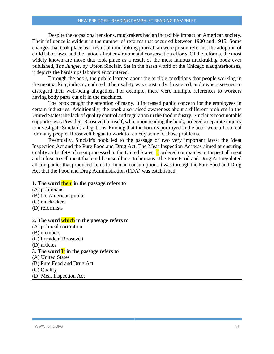Despite the occasional tensions, muckrakers had an incredible impact on American society. Their influence is evident in the number of reforms that occurred between 1900 and 1915. Some changes that took place as a result of muckraking journalism were prison reforms, the adoption of child labor laws, and the nation's first environmental conservation efforts. Of the reforms, the most widely known are those that took place as a result of the most famous muckraking book ever published, *The Jungle,* by Upton Sinclair. Set in the harsh world of the Chicago slaughterhouses, it depicts the hardships laborers encountered.

Through the book, the public learned about the terrible conditions that people working in the meatpacking industry endured. Their safety was constantly threatened, and owners seemed to disregard their well-being altogether. For example, there were multiple references to workers having body parts cut off in the machines.

The book caught the attention of many. It increased public concern for the employees in certain industries. Additionally, the book also raised awareness about a different problem in the United States: the lack of quality control and regulation in the food industry. Sinclair's most notable supporter was President Roosevelt himself, who, upon reading the book, ordered a separate inquiry to investigate Sinclair's allegations. Finding that the horrors portrayed in the book were all too real for many people, Roosevelt began to work to remedy some of those problems.

Eventually, Sinclair's book led to the passage of two very important laws: the Meat Inspection Act and the Pure Food and Drug Act. The Meat Inspection Act was aimed at ensuring quality and safety of meat processed in the United States. It ordered companies to Inspect all meat and refuse to sell meat that could cause illness to humans. The Pure Food and Drug Act regulated all companies that produced items for human consumption. It was through the Pure Food and Drug Act that the Food and Drug Administration (FDA) was established.

#### **1. The word their in the passage refers to**

- (A) politicians (B) the American public (C) muckrakers (D) reformists **2. The word which in the passage refers to** (A) political corruption (B) members (C) President Roosevelt (D) articles **3. The word It in the passage refers to** (A) United States (B) Pure Food and Drug Act (C) Quality
- (D) Meat Inspection Act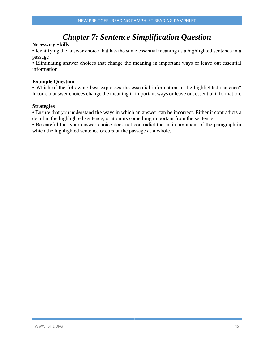# *Chapter 7: Sentence Simplification Question*

#### **Necessary Skills**

• Identifying the answer choice that has the same essential meaning as a highlighted sentence in a passage

• Eliminating answer choices that change the meaning in important ways or leave out essential information

#### **Example Question**

• Which of the following best expresses the essential information in the highlighted sentence? Incorrect answer choices change the meaning in important ways or leave out essential information.

#### **Strategies**

• Ensure that you understand the ways in which an answer can be incorrect. Either it contradicts a detail in the highlighted sentence, or it omits something important from the sentence.

• Be careful that your answer choice does not contradict the main argument of the paragraph in which the highlighted sentence occurs or the passage as a whole.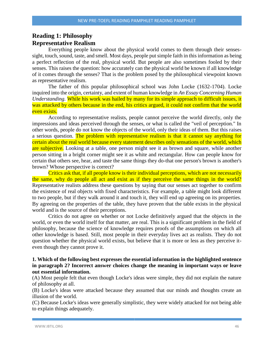# **Reading 1: Philosophy Representative Realism**

Everything people know about the physical world comes to them through their sensessight, touch, sound, taste, and smell. Most days, people put simple faith in this information as being a perfect reflection of the real, physical world. But people are also sometimes fooled by their senses. This raises the question: how accurately can the physical world be known if all knowledge of it comes through the senses? That is the problem posed by the philosophical viewpoint known as representative realism.

The father of this popular philosophical school was John Locke (1632-1704). Locke inquired into the origin, certainty, and extent of human knowledge in *An Essay Concerning Human Understanding.* While his work was hailed by many for its simple approach to difficult issues, it was attacked by others because in the end, his critics argued, it could not confirm that the world even exists.

According to representative realists, people cannot perceive the world directly, only the impressions and ideas perceived through the senses, or what is called the "veil of perception." In other words, people do not know the objects of the world, only their ideas of them. But this raises a serious question. The problem with representative realism is that it cannot say anything for certain about the real world because every statement describes only sensations of the world, which are subjective. Looking at a table, one person might see it as brown and square, while another person sitting in a bright corner might see it as white and rectangular. How can people know for certain that others see, hear, and taste the same things they do-that one person's brown is another's brown? Whose perspective is correct?

Critics ask that, if all people know is their individual perceptions, which are not necessarily the same, why do people all act and exist as if they perceive the same things in the world? Representative realists address these questions by saying that our senses act together to confirm the existence of real objects with fixed characteristics. For example, a table might look different to two people, but if they walk around it and touch it, they will end up agreeing on its properties. By agreeing on the properties of the table, they have proven that the table exists in the physical world and is the source of their perceptions.

Critics do not agree on whether or not Locke definitively argued that the objects in the world, or even the world itself for that matter, are real. This is a significant problem in the field of philosophy, because the science of knowledge requires proofs of the assumptions on which all other knowledge is based. Still, most people in their everyday lives act as realists. They do not question whether the physical world exists, but believe that it is more or less as they perceive iteven though they cannot prove it.

#### **1. Which of the following best expresses the essential information in the highlighted sentence in paragraph 2? Incorrect answer choices change the meaning in important ways or leave out essential information.**

(A) Most people felt that even though Locke's ideas were simple, they did not explain the nature of philosophy at all.

(B) Locke's ideas were attacked because they assumed that our minds and thoughts create an illusion of the world.

(C) Because Locke's ideas were generally simplistic, they were widely attacked for not being able to explain things adequately.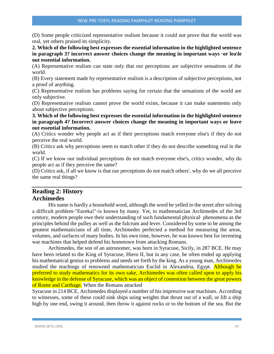(D) Some people criticized representative realism because it could not prove that the world was real, yet others praised its simplicity.

**2. Which of the following best expresses the essential information in the highlighted sentence in paragraph 3? incorrect answer choices change the meaning in important ways ·or lea\le out essential information.**

(A) Representative realism can state only that our perceptions are subjective sensations of the world.

(B) Every statement made by representative realism is a description of subjective perceptions, not a proof of anything.

(C) Representative realism has problems saying for certain that the sensations of the world are only subjective.

(D) Representative realism cannot prove the world exists, because it can make statements only about subjective perceptions.

#### **3. Which of the following best expresses the essential information in the highlighted sentence in paragraph 4? Incorrect answer choices change the meaning in important ways or leave out essential information.**

(A) Critics wonder why people act as if their perceptions match everyone else's if they do not perceive the real world.

(B) Critics ask why perceptions seem to match other if they do not describe something real in the world.

(C) If we know our individual perceptions do not match everyone else's, critics wonder, why do people act as if they perceive the same?

(D) Critics ask, if all we know is that our perceptions do not match others', why do we all perceive the same real things?

# **Reading 2: History Archimedes**

His name is hardly a household word, although the word he yelled in the street after solving a difficult problem-"Eureka!"-is known by many. Yet, to mathematician Archimedes of the 3rd century, modern people owe their understanding of such fundamental physical· phenomena as the principles behind the pulley as well as the fulcrum and lever. Considered by some to be among the greatest mathematicians of all time, Archimedes perfected a method for measuring the areas, volumes, and surfaces of many bodies. In his own time, however, he was known best for inventing war machines that helped defend his hometown from attacking Romans.

Archimedes, the son of an astronomer, was born in Syracuse, Sicily, in 287 BCE. He may have been related to the King of Syracuse, Hiero II, but in any case, he often ended up applying his mathematical genius to problems and needs set forth by the king. As a young man, Archimedes studied the teachings of renowned mathematician Euclid in Alexandria, Egypt. Although he preferred to study mathematics for its own sake, Archimedes was often called upon to apply his knowledge in the defense of Syracuse, which was an object of contention between the great powers of Rome and Carthage. When the Romans attacked

Syracuse in 214 BCE, Archimedes displayed a number of his impressive war machines. According to witnesses, some of these could sink ships using weights that thrust out of a wall, or lift a ship high by one end, swing it around, then throw it against rocks or to the bottom of the sea. But the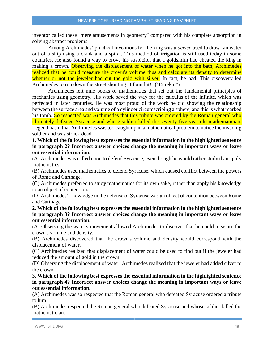inventor called these "mere amusements in geometry" compared with his complete absorption in solving abstract problems.

Among Archimedes' practical inventions for the king was a *device* used to draw rainwater out of a ship using a crank and a spiral. This method of irrigation is still used today in some countries. He also found a way to prove his suspicion that a goldsmith had cheated the king in making a crown. Observing the displacement of water when he got into the bath, Archimedes realized that he could measure the crown's volume thus and calculate its density to determine whether or not the jeweler had cut the gold with silver. In fact, he had. This discovery led Archimedes to run down the street shouting "I found it!" ("Eureka!")

Archimedes left nine books of mathematics that set out the fundamental principles of mechanics using geometry. His work paved the way for the calculus of the infinite. which was perfected in later centuries. He was most proud of the work he did showing the relationship between the surface area and volume of a cylinder circumscribing a sphere, and this is what marked his tomb. So respected was Archimedes that this tribute was ordered by the Roman general who ultimately defeated Syracuse and whose soldier killed the seventy-five-year-old mathematician. Legend has it that Archimedes was too caught up in a mathematical problem to notice the invading soldier and was struck dead.

**1. Which of the following best expresses the essential information in the highlighted sentence in paragraph 2? Incorrect answer choices change the meaning in important ways or leave out essential information.**

(A) Archimedes was called upon to defend Syracuse, even though he would rather study than apply mathematics.

(B) Archimedes used mathematics to defend Syracuse, which caused conflict between the powers of Rome and Carthage.

(C) Archimedes preferred to study mathematics for its own sake, rather than apply his knowledge to an object of contention.

(D) Archimedes' knowledge in the defense of Syracuse was an object of contention between Rome and Carthage.

**2. Which of the following best expresses the essential information in the highlighted sentence in paragraph 3? Incorrect answer choices change the meaning in important ways or leave out essential information.**

(A) Observing the water's movement allowed Archimedes to discover that he could measure the crown's volume and density.

(B) Archimedes discovered that the crown's volume and density would correspond with the displacement of water.

(C) Archimedes realized that displacement of water could be used to find out if the jeweler had reduced the amount of gold in the crown.

(D) Observing the displacement of water, Archimedes realized that the jeweler had added silver to the crown.

**3. Which of the following best expresses the essential information in the highlighted sentence in paragraph 4? Incorrect answer choices change the meaning in important ways or leave out essential information.**

(A) Archimedes was so respected that the Roman general who defeated Syracuse ordered a tribute to him.

(B) Archimedes respected the Roman general who defeated Syracuse and whose soldier killed the mathematician.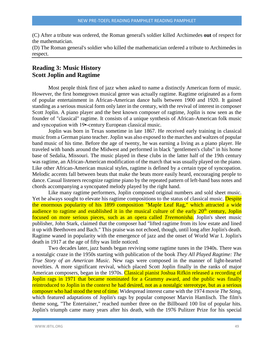(C) After a tribute was ordered, the Roman general's soldier killed Archimedes **out** of respect for the mathematician.

(D) The Roman general's soldier who killed the mathematician ordered a tribute to Archimedes in respect.

### **Reading 3: Music History Scott Joplin and Ragtime**

Most people think first of jazz when asked to name a distinctly American form of music. However, the first homegrown musical genre was actually ragtime. Ragtime originated as a form of popular entertainment in African-American dance halls between 1900 and 1920. It gained standing as a serious musical form only later in the century, with the revival of interest in composer Scott Joplin. A piano player and the best known composer of ragtime, Joplin is now seen as the founder of "classical" ragtime. It consists of a unique synthesis of African-American folk music and syncopation with 19•-century European classical music.

Joplin was born in Texas sometime in late 1867. He received early training in classical music from a German piano teacher. Joplin was also exposed to the marches and waltzes of popular band music of his time. Before the age of twenty, he was earning a living as a piano player. He traveled with bands around the Midwest and performed in black "gentlemen's clubs" in his home base of Sedalia, Missouri. The music played in these clubs in the latter half of the 19th century was ragtime, an African-American modification of the march that was usually played on the piano. Like other African-American musical styles, ragtime is defined by a certain type of syncopation. Melodic accents fall between beats that make the beats more easily heard, encouraging people to dance. Casual listeners recognize ragtime piano by the repeated pattern of left-hand bass notes and chords accompanying a syncopated melody played by the right hand.

Like many ragtime performers, Joplin composed original numbers and sold sheet music. Yet he always sought to elevate his ragtime compositions to the status of classical music. Despite the enormous popularity of his 1899 composition "Maple Leaf Rag," which attracted a wide audience to ragtime and established it in the musical culture of the early 20<sup>th</sup> century, Joplin focused on more serious pieces, such as an opera called *Treemonisha.* Joplin's sheet music publisher, John Stark, claimed that the composer had "lifted ragtime from its low estate and lined it up with Beethoven and Bach." This praise was not echoed, though, until long after Joplin's death. Ragtime waned in popularity with the emergence of jazz and the onset of World War I. Joplin's death in 1917 at the age of fifty was little noticed.

Two decades later, jazz bands began reviving some ragtime tunes in the 1940s. There was a nostalgic craze in the 1950s starting with publication of the book *They All Played Ragtime: The True Story of an American Music.* New rags were composed in the manner of light-hearted novelties. A more significant revival, which placed Scott Joplin finally in the ranks of major American composers, began in the 1970s. Classical pianist Joshua Rifkin released a recording of Joplin rags in 1971 that became nominated for a Grammy award, and the public was finally reintroduced to Joplin in the context he had desired, not as a nostalgic stereotype, but as a serious composer who had stood the test of time. Widespread interest came with the 1974 movie *The Sting,* which featured adaptations of Joplin's rags by popular composer Marvin HamIisch. The film's theme song, "The Entertainer," reached number three on the Billboard 100 list of popular hits. Joplin's triumph came many years after his death, with the 1976 Pulitzer Prize for his special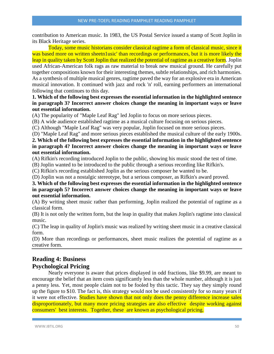contribution to American music. In 1983, the US Postal Service issued a stamp of Scott Joplin in its Black Heritage series.

Today, some music historians consider classical ragtime a form of classical music, since it was based more on written sheetn1usic' than recordings or performances, but it is more likely the leap in quality taken by Scott Joplin that realized the potential of ragtime as a creative form. Joplin used African-American folk rags as raw material to break new musical ground. He carefully put together compositions known for their interesting themes, subtle relationships, and rich harmonies. As a synthesis of multiple musical genres, ragtime paved the way for an explosive era in American musical innovation. It continued with jazz and rock 'n' roll, earning performers an international following that continues to this day.

**1. Which of the following best expresses the essential information in the highlighted sentence in paragraph 3? Incorrect answer choices change the meaning in important ways or leave out essential information.**

(A) The popularity of "Maple Leaf Rag" led Joplin to focus on more serious pieces.

(B) A wide audience established ragtime as a musical culture focusing on serious pieces.

(C) Although "Maple Leaf Rag" was very popular, Joplin focused on more serious pieces.

(D) "Maple Leaf Rag" and more serious pieces established the musical culture of the early 1900s.

#### **2. Which of the following best expresses the essential information in the highlighted sentence in paragraph 4? Incorrect answer choices change the meaning in important ways or leave out essential information.**

(A) Rifkin's recording introduced Joplin to the public, showing his music stood the test of time.

(B) Joplin wanted to be introduced to the public through a serious recording like Rifkin's.

(C) Rifkin's recording established Joplin as the serious composer he wanted to be.

(D) Joplin was not a nostalgic stereotype, but a serious composer, as Rifkin's award proved.

#### **3. Which of the following best expresses the essential information in the highlighted sentence in paragraph 5? Incorrect answer choices change the meaning in important ways or leave out essential information.**

(A) By writing sheet music rather than performing, Joplin realized the potential of ragtime as a classical form.

(B) It is not only the written form, but the leap in quality that makes Joplin's ragtime into classical music.

(C) The leap in quality of Joplin's music was realized by writing sheet music in a creative classical form.

(D) More than recordings or performances, sheet music realizes the potential of ragtime as a creative form.

# **Reading 4: Business Psychological Pricing**

Nearly everyone is aware that prices displayed in odd fractions, like \$9.99, are meant to encourage the belief that an item costs significantly less than the whole number, although it is just a penny less. Yet, most people claim not to be fooled by this tactic. They say they simply round up the figure to \$10. The fact is, this strategy would not be used consistently for so many years if it were not effective. Studies have shown that not only does the penny difference increase sales disproportionately, but many more pricing strategies are also effective despite working against consumers' best interests. Together, these are known as psychological pricing.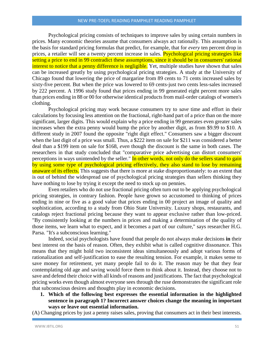Psychological pricing consists of techniques to improve sales by using certain numbers in prices. Many economic theories assume that consumers always act rationally. This assumption is the basis for standard pricing formulas that predict, for example, that for *every* ten percent drop in prices, a retailer will see a twenty percent increase in sales. Psychological pricing strategies like setting a price to end in 99 contradict these assumptions, since it should be in consumers' rational interest to notice that a penny difference is negligible. Yet, multiple studies have shown that sales can be increased greatly by using psychological pricing strategies. A study at the University of Chicago found that lowering the price of margarine from 89 cents to 71 cents increased sales by sixty-five percent. But when the price was lowered to 69 cents-just two cents less-sales increased by 222 percent. A 1996 study found that prices ending in 99 generated eight percent more sales than prices ending in 88 or 00 for otherwise identical products from mail-order catalogs of women's clothing.

Psychological pricing may work because consumers try to *save* time and effort in their calculations by focusing less attention on the fractional, right-hand part of a price than on the more significant, larger digits. This would explain why a price ending in 99 generates even greater sales increases when the extra penny would bump the price by another digit, as from \$9.99 to \$10. A different study in 2007 found the opposite "right digit effect." Consumers saw a bigger discount when the last digit of a price was small. Thus, a \$222 item on sale for \$211 was considered a better deal than a \$199 item on sale for \$168, *even* though the discount is the same in both cases. The researchers in that study concluded that "comparative price advertising can distort consumers' perceptions in ways unintended by the seller." In other words, not only do the sellers stand to gain by using some type of psychological pricing effectively, they also stand to lose by remaining unaware of its effects. This suggests that there is more at stake disproportionately: to an extent that is out of behind the widespread use of psychological pricing strategies than sellers thinking they have nothing to lose by trying it except the need to stock up on pennies.

Even retailers who do not use fractional pricing often turn out to be applying psychological pricing strategies, in contrary fashion. People have grown so accustomed to thinking of prices ending in nine or five as a good value that prices ending in 00 project an image of quality and sophistication, according to a study from Ohio State University. Luxury shops, restaurants, and catalogs reject fractional pricing because they want to appear exclusive rather than low-priced. "By consistently looking at the numbers in prices and making a determination of the quality of those items, we learn what to expect, and it becomes a part of our culture," says researcher H.G. Parsa. "It's a subconscious learning."

Indeed, social psychologists have found that people do not always make decisions **in** their best interest on the basis of reason. Often, they exhibit what is called cognitive dissonance. This means that they might hold two inconsistent ideas simultaneously and adopt various forms of rationalization and self-justification to ease the resulting tension. For example, it makes sense to save money for retirement, yet many people fail to do it. The reason may be that they fear contemplating old age and saving would force them to think about it. Instead, they choose not to save and defend their choice with all kinds of reasons and justifications. The fact that psychological pricing works even though almost everyone sees through the ruse demonstrates the significant role that subconscious desires and thoughts play in economic decisions.

**1. Which of the following best expresses the essential information in the highlighted sentence in paragraph 1? Incorrect answer choices change the meaning in important ways or leave out essential information.**

(A) Changing prices by just a penny raises sales, proving that consumers act in their best interests.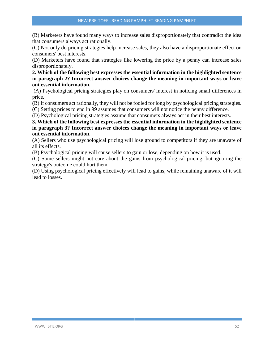(B) Marketers have found many ways to increase sales disproportionately that contradict the idea that consumers always act rationally.

(C) Not only do pricing strategies help increase sales, they also have a disproportionate effect on consumers' best interests.

(D) Marketers have found that strategies like lowering the price by a penny can increase sales disproportionately.

**2. Which of the following best expresses the essential information in the highlighted sentence in paragraph 2? Incorrect answer choices change the meaning in important ways or leave out essential information.**

(A) Psychological pricing strategies play on consumers' interest in noticing small differences in price.

(B) If consumers act rationally, they will not be fooled for long by psychological pricing strategies.

(C) Setting prices to end in 99 assumes that consumers will not notice the penny difference.

(D) Psychological pricing strategies assume that consumers always act in their best interests.

**3. Which of the following best expresses the essential information in the highlighted sentence in paragraph 3? Incorrect answer choices change the meaning in important ways or leave out essential information**.

(A) Sellers who use psychological pricing will lose ground to competitors if they are unaware of all its effects.

(B) Psychological pricing will cause sellers to gain or lose, depending on how it is used.

(C) Some sellers might not care about the gains from psychological pricing, but ignoring the strategy's outcome could hurt them.

(D) Using psychological pricing effectively will lead to gains, while remaining unaware of it will lead to losses.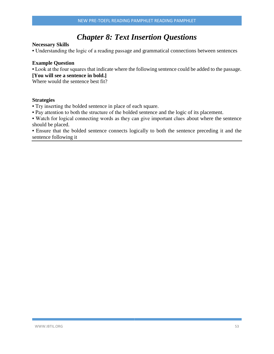# *Chapter 8: Text Insertion Questions*

#### **Necessary Skills**

• Understanding the logic of a reading passage and grammatical connections between sentences

#### **Example Question**

• Look at the four squares that indicate where the following sentence could be added to the passage. **[You will see a sentence in bold.]**

Where would the sentence best fit?

#### **Strategies**

- Try inserting the bolded sentence in place of each square.
- Pay attention to both the structure of the bolded sentence and the logic of its placement.

• Watch for logical connecting words as they can give important clues about where the sentence should be placed.

• Ensure that the bolded sentence connects logically to both the sentence preceding it and the sentence following it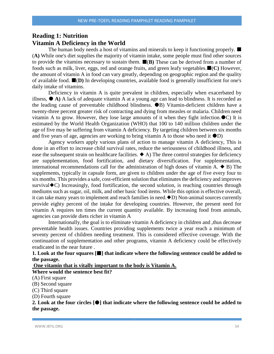# **Reading 1: Nutrition Vitamin A Deficiency in the World**

The human body needs a host of vitamins and minerals to keep it functioning properly.  $\blacksquare$ (**A)** While one's diet supplies the majority of vitamin intake, some people must find other sources to provide the vitamins necessary to sustain them.  $\blacksquare$  (B) These can be derived from a number of foods such as milk, liver, eggs, red and orange fruits, and green leafy vegetables.(**C)** However, the amount of vitamin A in food can vary greatly, depending on geographic region and the quality of available food.  $\blacksquare(D)$  In developing countries, available food is generally insufficient for one's daily intake of vitamins.

Deficiency in vitamin A is quite prevalent in children, especially when exacerbated by illness,  $\bullet$  A) A lack of adequate vitamin A at a young age can lead to blindness. It is recorded as the leading cause of preventable childhood blindness.  $\bullet$ B) Vitamin-deficient children have a twenty-three percent greater risk of contracting and dying from measles or malaria. Children need vitamin A to grow. However, they lose large amounts of it when they fight infection. $\bullet$ C) It is estimated by the World Health Organization (WHO) that 100 to 140 million children under the age of five may be suffering from vitamin A deficiency. By targeting children between six months and five years of age, agencies are working to bring vitamin A to those who need it  $\bullet$ D)

Agency workers apply various plans of action to manage vitamin A deficiency, This is done in an effort to increase child survival rates, reduce the seriousness of childhood illness, and ease the subsequent strain on healthcare facilities.  $\blacklozenge$  A) The three control strategies for deficiency are supplementation, food fortification, and dietary diversification. For supplementation, international recommendations call for the administration of high doses of vitamin A.  $\blacklozenge$  B) The supplements, typically in capsule form, are given to children under the age of five every four to six months. This provides a safe, cost-efficient solution that eliminates the deficiency and improves survival  $\blacklozenge$  Increasingly, food fortification, the second solution, is reaching countries through mediums such as sugar, oil, milk, and other basic food items. While this option is effective overall, it can take many years to implement and reach families in need. $\triangle$ D) Non-animal sources currently provide eighty percent of the intake for developing countries. However, the present need for vitamin A requires ten times the current quantity available. By increasing food from animals, agencies can provide diets richer in vitamin A

Internationally, the goal is to eliminate vitamin A deficiency in children and ,thus decrease preventable health issues. Countries providing supplements twice a year reach a minimum of seventy percent of children needing treatment. This is considered effective coverage. With the continuation of supplementation and other programs, vitamin A deficiency could be effectively eradicated in the near future .

**1. Look at the four squares [] that indicate where the following sentence could be added to the passage.**

**One vitamin that is vitally important to the body is Vitamin A.**

**Where would the sentence best fit?**

(A) First square

(B) Second square

(C) Third square

(D) Fourth square

**2. Look at the four circles [] that indicate where the following sentence could be added to the passage.**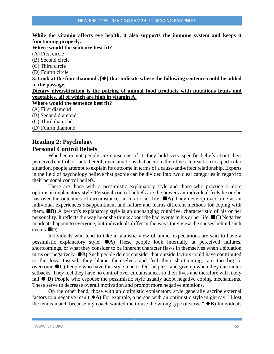#### **While the vitamin affects eye health, it also supports the immune system and keeps it functioning properly.**

**Where would the sentence best fit?** (A) First circle (B) Second circle (C) Third circle (D) Fourth circle **3. Look at the four diamonds [] that indicate where the following sentence could be added to the passage. Dietary diversification is the pairing of animal food products with nutritious fruits and vegetables, all of which are high in vitamin A. Where would the sentence best fit?** (A) First diamond (B) Second diamond (C) Third diamond (D) Fourth diamond

# **Reading 2: Psychology Personal Control Beliefs**

Whether or not people are conscious of it, they hold very specific beliefs about their perceived control, or lack thereof, over situations that occur in their lives. In reaction to a particular situation, people attempt to explain its outcome in terms of a cause-and-effect relationship. Experts in the field of psychology believe that people can be divided into two clear categories in regard to their personal control beliefs.

There are those with a pessimistic explanatory style and those who practice a more optimistic explanatory style. Personal control beliefs are the powers an individual feels he or she has over the outcomes of circumstances in his or her life.  $\blacksquare$ A) They develop over time as an individual experiences disappointment and failure and learns different methods for coping with them. **B)** A person's explanatory style is an unchanging cognitive. characteristic of his or her personality. It reflects the way he or she thinks about the bad events in his or her life.  $\blacksquare$  C) Negative incidents happen to everyone, but individuals differ in the ways they view the causes behind such events.**D)**

Individuals who tend to take a fatalistic view of unmet expectations are said to have a pessimistic explanatory style. **A)** These people look internally at perceived failures, shortcomings, or what they consider to be inherent character flaws in themselves when a situation turns out negatively. **B)** Such people do not consider that outside factors could have contributed to the loss. Instead, they blame themselves and feel their shortcomings are too big to overcome.**C)** People who have this style tend to feel helpless and give up when they encounter setbacks. They feel they have no control over circumstances in their lives and therefore will likely fail  $\bullet$  **D**) People who espouse the pessimistic style usually adopt negative coping mechanisms. These serve to decrease overall motivation and prompt more negative emotions.

On the other hand, those with an optimistic explanatory style generally ascribe external factors to a negative result  $\blacklozenge$  A) For example, a person with an optimistic style might say, "I lost the tennis match because my coach wanted me to use the wrong type of serve."  $\blacklozenge B$ ) Individuals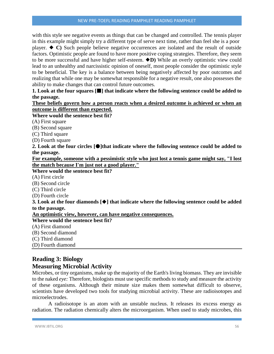#### NEW PRE-TOEFL READING PAMPHLET READING PAMPHLET

with this style see negative events as things that can be changed and controlled. The tennis player in this example might simply try a different type of serve next time, rather than feel she is a poor player.  $\blacklozenge$  C) Such people believe negative occurrences are isolated and the result of outside factors. Optimistic people are found to have more positive coping strategies. Therefore, they seem to be more successful and have higher self-esteem. **D)** While an overly optimistic view could lead to an unhealthy and narcissistic opinion of oneself, most people consider the optimistic style to be beneficial. The key is a balance between being negatively affected by poor outcomes and realizing that while one may be somewhat responsible for a negative result, one also possesses the ability to make changes that can control future outcomes.

**1. Look at the four squares [] that indicate where the following sentence could be added to the passage.**

#### **These beliefs govern how a person reacts when a desired outcome is achieved or when an outcome is different than expected.**

#### **Where would the sentence best fit?**

- (A) First square
- (B) Second square
- (C) Third square
- (D) Fourth square

**2. Look at the four circles []that indicate where the following sentence could be added to the passage.**

**For example, someone with a pessimistic style who just lost a tennis game might say, "I lost the match because I'm just not a good player."**

#### **Where would the sentence best fit?**

- (A) First circle
- (B) Second circle
- (C) Third circle
- (D) Fourth circle

**3. Look at the four diamonds [] that indicate where the following sentence could be added to the passage.**

**An optimistic view, however, can have negative consequences.**

#### **Where would the sentence best fit?**

- (A) First diamond
- (B) Second diamond
- (C) Third diamond
- (D) Fourth diamond

# **Reading 3: Biology Measuring Microbial Activity**

Microbes, or tiny organisms, make up the majority of the Earth's living biomass. They are invisible to the naked *eye:* Therefore, biologists must use specific methods to study and measure the activity of these organisms. Although their minute size makes them somewhat difficult to observe, scientists have developed two tools for studying microbial activity. These are radioisotopes and microelectrodes.

A radioisotope is an atom with an unstable nucleus. It releases its excess energy as radiation. The radiation chemically alters the microorganism. When used to study microbes, this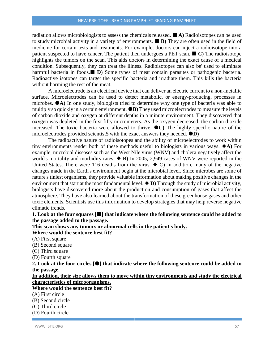radiation allows microbiologists to assess the chemicals released. **A)** Radioisotopes can be used to study microbial activity in a variety of environments.  $\blacksquare$  **B**) They are often used in the field of medicine for certain tests and treatments. For example, doctors can inject a radioisotope into a patient suspected to have cancer. The patient then undergoes a PET scan.  $\blacksquare$  C) The radioisotope highlights the tumors on the scan. This aids doctors in determining the exact cause of a medical condition. Subsequently, they can treat the illness. Radioisotopes can also be' used to eliminate harmful bacteria in foods. **D**) Some types of meat contain parasites or pathogenic bacteria. Radioactive isotopes can target the specific bacteria and irradiate them. This kills the bacteria without harming the rest of the meat.

A microelectrode is an electrical device that can deliver an electric current to a non-metallic surface. Microelectrodes can be used to detect metabolic, or energy-producing, processes in microbes. **A)** In one study, biologists tried to determine why one type of bacteria was able to multiply so quickly in a certain environment.  $\bullet$ **B**) They used microelectrodes to measure the levels of carbon dioxide and oxygen at different depths in a minute environment. They discovered that oxygen was depleted in the first fifty micrometers. As the oxygen decreased, the carbon dioxide increased. The toxic bacteria were allowed to thrive.  $\bullet$ C) The highly specific nature of the microelectrodes provided scientist $\$$  with the exact answers they needed.  $\bullet$ **D**)

The radioactive nature of radioisotopes and the ability of microelectrodes to work within tiny environments render both of these methods useful to biologists in various ways.  $\blacklozenge$ A) For example, microbial diseases such as the West Nile virus (WNV) and cholera negatively affect the world's mortality and morbidity rates.  $\blacklozenge$  **B**) In 2005, 2,949 cases of WNV were reported in the United States. There were 116 deaths from the virus.  $\blacklozenge$  C) In addition, many of the negative changes made in the Earth's environment begin at the microbial level. Since microbes are some of nature's tiniest organisms, they provide valuable information about making positive changes in the environment that start at the most fundamental level.  $\blacklozenge$  **D**) Through the study of microbial activity, biologists have discovered more about the production and consumption of gases that affect the atmosphere. They have also learned about the transformation of these greenhouse gases and other toxic elements. Scientists use this information to develop strategies that may help reverse negative climatic trends.

**1. Look at the four squares [] that indicate where the following sentence could be added to the passage added to the passage.**

**This scan shows any tumors or abnormal cells in the patient's body.**

## **Where would the sentence best fit?**

- (A) First square
- (B) Second square
- (C) Third square
- (D) Fourth square

**2. Look at the four circles [] that indicate where the following sentence could be added to the passage.**

**In addition, their size allows them to move within tiny environments and study the electrical characteristics of microorganisms.**

## **Where would the sentence best fit?**

- (A) First circle
- (B) Second circle
- (C) Third circle
- (D) Fourth circle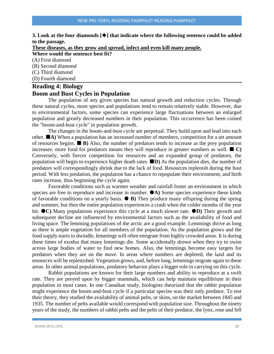#### **3.** Look at the four diamonds  $[\blacklozenge]$  that indicate where the following sentence could be added **to the passage.**

**These diseases, as they grow and spread, infect and even kill many people.**

**Where would the sentence best fit?**

(A) First diamond

(B) Second diamond

(C) Third diamond

(D) Fourth diamond

#### **Reading 4: Biology**

# **Boom and Bust Cycles in Population**

The population of any given species has natural growth and reduction cycles. Through these natural cycles, most species and populations tend to remain relatively stable. However, due to environmental factors, some species can experience large fluctuations between an enlarged population and greatly decreased numbers in their population. This occurrence has been coined the "boom-and-bust cycle" in population growth.

The changes in the boom-and-bust cycle are perpetual. They build upon and lead into each other.  $\blacksquare$  A) When a population has an increased number of members, competition for a set amount of resources begins.  $\blacksquare$  **B**) Also, the number of predators tends to increase as the prey population increases: more food for predators means they will reproduce in greater numbers as well.  $\blacksquare$  C) Conversely, with fiercer competition for resources and an expanded group of predators, the population will begin to experience higher death rates. **D)** As the population dies, the number of predators will correspondingly shrink due to the lack of food. Resources replenish during the bust period. With less predation, the population has a chance to repopulate their environment, and birth rates increase, thus beginning the cycle again.

Favorable conditions such as warmer weather and rainfall foster an environment in which species are free to reproduce and increase in number.  $\bullet$ A) Some species experience these kinds of favorable conditions on a yearly basis.  $\bullet$  **B**) They produce many offspring during the spring and summer, but then the entire population experiences a crash when the colder months of the year hit.  $\bullet$ C) Many populations experience this cycle at a much slower rate.  $\bullet$ D) Their growth and subsequent decline are influenced by environmental factors such as the availability of food and living space. The lemming populations of the arctic are a good example. Lemmings thrive as long as there is ample vegetation for all members of the population. As the population grows and the food supply starts to dwindle, lemmings will often emigrate from highly crowded areas. It is during these times of exodus that many lemmings die. Some accidentally drown when they try to swim across large bodies of water to find new homes. Also, the lemmings become easy targets for predators when they are on the *move.* In areas where numbers are depleted, the land and its resources will be replenished. Vegetation grows, and, before long, lemmings migrate again to these areas. In other animal populations, predatory behavior plays a bigger role in carrying on this cycle.

Rabbit populations are known for their large numbers and ability to reproduce at a swift rate. They are preyed upon by bigger mammals, which can help maintain equilibrium in their population in most cases. In one Canadian study, biologists theorized that the rabbit population might experience the boom-and-bust cycle if a particular species was their only predator. To test their theory, they studied the availability of animal pelts, or skins, on the market between 1845 and 1935. The number of pelts available would correspond with population size. Throughout the ninety years of the study, the numbers of rabbit pelts and the pelts of their predator, the lynx, rose and fell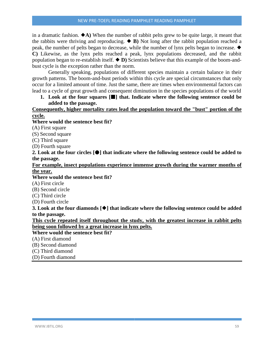in a dramatic fashion.  $\triangle$ A) When the number of rabbit pelts grew to be quite large, it meant that the rabbits were thriving and reproducing.  $\blacklozenge$  **B**) Not long after the rabbit population reached a peak, the number of pelts began to decrease, while the number of lynx pelts began to increase. **C)** Likewise, as the lynx pelts reached a peak, lynx populations decreased, and the rabbit population began to re-establish itself.  $\blacklozenge$  **D**) Scientists believe that this example of the boom-andbust cycle is the exception rather than the norm.

Generally speaking, populations of different species maintain a certain balance in their growth patterns. The boom-and-bust periods within this cycle are special circumstances that only occur for a limited amount of time. Just the same, there are times when environmental factors can lead to a cycle of great growth and consequent diminution in the species populations of the world

#### **1. Look at the four squares [] that. Indicate where the following sentence could be added to the passage.**

#### **Consequently, higher mortality rates lead the population toward the "bust" portion of the cycle.**

#### **Where would the sentence best fit?**

(A) First square

(S) Second square

(C) Third square

(D) Fourth square

**2. Look at the four circles [] that indicate where the following sentence could be added to the passage.**

#### **For example, insect populations experience immense growth during the warmer months of the year.**

#### **Where would the sentence best fit?**

(A) First circle

(B) Second circle

(C) Third circle

(D) Fourth circle

**3.** Look at the four diamonds  $[\blacklozenge]$  that indicate where the following sentence could be added **to the passage.**

**This cycle repeated itself throughout the study, with the greatest increase in rabbit pelts being soon followed by a great increase in lynx pelts.**

#### **Where would the sentence best fit?**

(A) First diamond

(B) Second diamond

(C) Third diamond

(D) Fourth diamond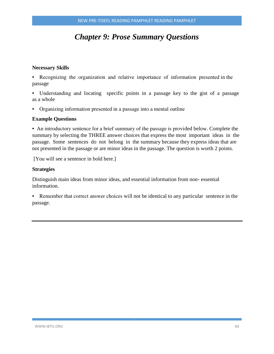# *Chapter 9: Prose Summary Questions*

#### **Necessary Skills**

• Recognizing the organization and relative importance of information presented in the passage

• Understanding and locating specific points in a passage key to the gist of a passage as a whole

• Organizing information presented in a passage into a mental outline

#### **Example Questions**

• An introductory sentence for a brief summary of the passage is provided below. Complete the summary by selecting the THREE answer choices that express the most important ideas in the passage. Some sentences do not belong in the summary because they express ideas that are not presented in the passage or are minor ideas in the passage. The question is worth 2 points.

[You will see a sentence in bold here.]

#### **Strategies**

Distinguish main ideas from minor ideas, and essential information from non- essential information.

• Remember that correct answer choices will not be identical to any particular sentence in the passage.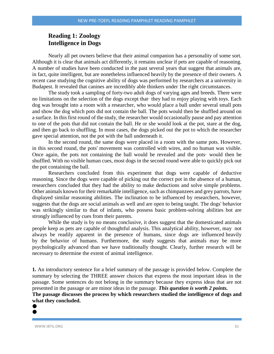# **Reading 1: Zoology Intelligence in Dogs**

Nearly all pet owners believe that their animal companion has a personality of some sort. Although it is clear that animals act differently, it remains unclear if pets are capable of reasoning. A number of studies have been conducted in the past several years that suggest that animals are, in fact, quite intelligent, but are nonetheless influenced heavily by the presence of their owners. A recent case studying the cognitive ability of dogs was performed by researchers at a university in Budapest. It revealed that canines are incredibly able thinkers under 1he right circumstances.

The study took a sampling of forty-two adult dogs of varying ages and breeds. There were no limitations on the selection of the dogs except that· they had to enjoy playing with toys. Each dog was brought into a room with a researcher, who would place a ball under several small pots and show the dog which pots did not contain the ball. The pots would then be shuffled around on a surface. In this first round of the study, the researcher would occasionally pause and pay attention to one of the pots that did not contain the ball. He or she would look at the pot, stare at the dog, and then go back to shuffling. In most cases, the dogs picked out the pot to which the researcher gave special attention, not the pot with the ball underneath it.

In the second round, the same dogs were placed in a room with the same pots. However, in this second round, the pots' movement was controlled with wires, and no human was visible. Once again, the pots not containing the ball would be revealed and the pots· would then be shuffled. With no visible human cues, most dogs in the second round were able to quickly pick out the pot containing the ball.

Researchers concluded from this experiment that dogs were capable of deductive reasoning. Since the dogs were capable of picking out the correct pot in the absence of a human, researchers concluded that they had the ability to make deductions and solve simple problems. Other animals known for their remarkable intelligence, such as chimpanzees and grey parrots, have displayed similar reasoning abilities. The inclination to be influenced by researchers, however, suggests that the dogs are social animals as well and are open to being taught. The dogs' behavior was strikingly similar to that of infants, who possess basic problem-solving abilities bot are strongly influenced by cues from their parents.

While the study is by no means conclusive, it does suggest that the domesticated animals people keep as pets are capable of thoughtful analysis. This analytical ability, however, may not always be readily apparent in the presence of humans, since dogs are influenced heavily by the behavior of humans. Furthermore, the study suggests that animals may be more psychologically advanced than we have traditionally thought. Clearly, further research will be necessary to determine the extent of animal intelligence.

**1.** An introductory sentence for a brief summary of the passage is provided below. Complete the summary by selecting the THREE answer choices that express the most important ideas in the passage. Some sentences do not belong in the summary because they express ideas that are not presented in the passage or are minor ideas in the passage. *This question is worth 2 points.*

**The passage discusses the process by which researchers studied the intelligence of dogs and what they concluded.**  $\bullet$ 

#### WWW.IBTIL.ORG 61

 $\bullet$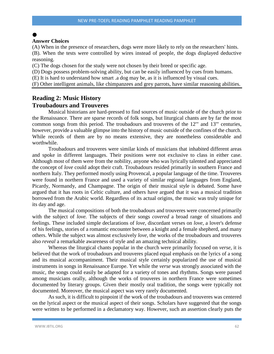# $\bullet$

#### **Answer Choices**

(A) When in the presence of researchers, dogs were more likely to rely on the researchers' hints.

(B). When the tests were controlled by wires instead of people, the dogs displayed deductive reasoning.

(C) The dogs chosen for the study were not chosen by their breed or specific age.

(D) Dogs possess problem-solving ability, but can be easily influenced by cues from humans.

(E) It is hard to understand how smart .a dog may be, as it is influenced by visual cues.

(F) Other intelligent animals, like chimpanzees and grey parrots, have similar reasoning abilities.

### **Reading 2: Music History Troubadours and Trouveres**

Musical historians are hard-pressed to find sources of music outside of the church prior to the Renaissance. There are sparse records of folk songs, but liturgical chants are by far the most common songs from this period. The troubadours and trouveres of the 12'" and 13'" centuries, however, provide a valuable glimpse into the history of music outside of the confines of the church. While records of them are by no means extensive, they are nonetheless considerable and worthwhile.

Troubadours and trouveres were similar kinds of musicians that inhabited different areas and spoke in different languages. Their positions were not exclusive to class in either case. Although most of them were from the nobility, anyone who was lyrically talented and appreciated the concept of *love* could adopt their craft. Troubadours resided primarily in southern France and northern Italy. They performed mostly using Provencal, a popular language of the time. Trouveres were found in northern France and used a variety of similar regional languages from England, Picardy, Normandy, and Champagne. The origin of their musical style is debated. Some have argued that it has roots in Celtic culture, and others have argued that it was a musical tradition borrowed from the Arabic world. Regardless of its actual origins, the music was truly unique for its day and age.

The musical compositions of both the troubadours and trouveres were concerned primarily with the subject of *love.* The subjects of their songs *covered* a broad range of situations and feelings. These included simple declarations of *love,* discordant verses on *love,* a lover's defense of his feelings, stories of a romantic encounter between a knight and a female shepherd, and many others. While the subject was almost exclusively *love,* the works of the troubadours and trouveres also *reveal* a remarkable awareness of style and an amazing technical ability.

Whereas the liturgical chants popular in the church were primarily focused on *verse,* it is believed that the work of troubadours and trouveres placed equal emphasis on the lyrics of a song and its musical accompaniment. Their musical style certainly popularized the use of musical instruments in songs in Renaissance Europe. Yet while the *verse* was strongly associated with the music, the songs could easily be adapted for a variety of tones and rhythms. Songs were passed among musicians orally, although the works of trouveres in northern France were sometimes documented by literary groups. Given their mostly oral tradition, the songs were typically not documented. Moreover, the musical aspect was very rarely documented.

As such, it is difficult to pinpoint if the work of the troubadours and trouveres was centered on the lyrical aspect or the musical aspect of their songs. Scholars have suggested that the songs were written to be performed in a declamatory way. However, such an assertion clearly puts the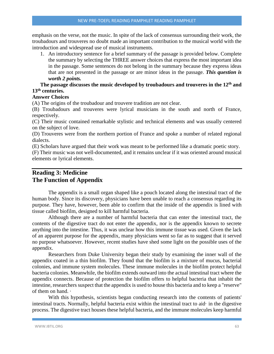emphasis on the verse, not the music. In spite of the lack of consensus surrounding their work, the troubadours and trouveres no doubt made an important contribution to the musical world with the introduction and widespread use of musical instruments.

1. An introductory sentence for a brief summary of the passage is provided below. Complete the summary by selecting the THREE answer choices that express the most important idea in the passage. Some sentences do not belong in the summary because they express ideas that are not presented in the passage or are minor ideas in the passage. *This question is worth 2 points.*

#### **The passage discusses the music developed by troubadours and trouveres in the 12th and 13th centuries.**

#### **Answer Choices**

(A) The origins of the troubadour and trouvere tradition are not clear.

(B) Troubadours and trouveres were lyrical musicians in the south and north of France, respectively.

(C) Their music contained remarkable stylistic and technical elements and was usually centered on the subject of love.

(D) Trouveres were from the northern portion of France and spoke a number of related regional dialects.

(E) Scholars have argued that their work was meant to be performed like a dramatic poetic story.

(F) Their music was not well-documented, and it remains unclear if it was oriented around musical elements or lyrical elements.

# **Reading 3: Medicine The Function of Appendix**

The appendix is a small organ shaped like a pouch located along the intestinal tract of the human body. Since its discovery, physicians have been unable to reach a consensus regarding its purpose. They have, however, been able to confirm that the inside of the appendix is lined with tissue called biofilm, designed to kill harmful bacteria.

Although there are a number of harmful bacteria that can enter the intestinal tract, the contents of the digestive tract do not enter the appendix, nor is the appendix known to secrete anything into the intestine. Thus, it was unclear how this immune tissue was used. Given the lack of an apparent purpose for the appendix, many physicians went so far as to suggest that it served no purpose whatsoever. However, recent studies have shed some light on the possible uses of the appendix.

Researchers from Duke University began their study by examining the inner wall of the appendix coated in a thin biofilm. They found that the biofilm is a mixture of mucus, bacterial colonies, and immune system molecules. These immune molecules in the biofilm protect helpful bacteria colonies. Meanwhile, the biofilm extends outward into the actual intestinal tract where the appendix connects. Because of protection the biofilm offers to helpful bacteria that inhabit the intestine, researchers suspect that the appendix is used to house this bacteria and to keep a "reserve" of them on hand. ·

With this hypothesis, scientists began conducting research into the contents of patients' intestinal tracts. Normally, helpful bacteria exist within the intestinal tract to aid· in the digestive process. The digestive tract houses these helpful bacteria, and the immune molecules keep harmful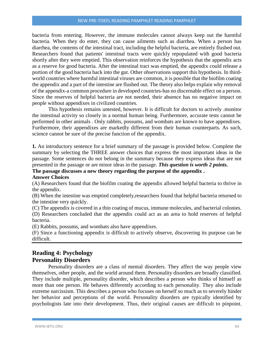bacteria from entering. However, the immune molecules cannot always keep out the harmful bacteria. When they do enter, they can cause ailments such as diarrhea. When a person has diarrhea, the contents of the intestinal tract, including the helpful bacteria, are entirely flushed out. Researchers found that patients' intestinal tracts were quickly repopulated with good bacteria shortly after they were emptied. This observation reinforces the hypothesis that the appendix acts as a reserve for good bacteria. After the intestinal tract was emptied, the appendix could release a portion of the good bacteria back into the gut. Other observations support this hypothesis. In thirdworld countries where harmful intestinal viruses are common, it is possible that the biofilm coating the appendix and a part of the intestine are flushed out. The theory also helps explain why removal of the appendix-a common procedure in developed countries-has no discernable effect on a person. Since the reserves of helpful bacteria are not needed, their absence has no negative impact on people without appendixes in civilized countries.

This hypothesis remains untested, however. It is difficult for doctors to actively .monitor the intestinal activity so closely in a normal human being. Furthermore, accurate tests cannot be performed in other animals . Only rabbits, possums, and wombats are known to have appendixes. Furthermore, their appendixes are markedly different from their human counterparts. As such, science cannot be sure of the precise function of the appendix.

**1.** An introductory sentence for a brief summary of the passage is provided below. Complete the summary by selecting the THREE answer choices that express the most important ideas in the passage. Some sentences do not belong in the summary because they express ideas that are not presented in the passage or are minor ideas in the passage. *This question is worth 2 points.*

# **The passage discusses a new theory regarding the purpose of the appendix .**

# **Answer Choices**

(A) Researchers found that the biofilm coating the appendix allowed helpful bacteria to thrive in the appendix.

(B) When the intestine was emptied completely,researchers found that helpful bacteria returned to the intestine very quickly.

(C) The appendix is covered in a thin coating of mucus, immune molecules, and bacterial colonies. (D) Researchers concluded that the appendix could act as an area to hold reserves of helpful bacteria.

(E) Rabbits, possums, and wombats also have appendixes.

(F) Since a functioning appendix is difficult to actively observe, discovering its purpose can be difficult.

# **Reading 4: Psychology Personality Disorders**

Personality disorders are a class of mental disorders. They affect the way people view themselves, other people, and the world around them. Personality disorders are broadly classified. They include multiple, personality disorder, which describes a person who thinks of himself as more than one person. He behaves differently according to each personality. They also include extreme narcissism. This describes a person who focuses on herself so much as to severely hinder her behavior and perceptions of the world. Personality disorders are typically identified by psychologists late into their development. Thus, their original causes are difficult to pinpoint.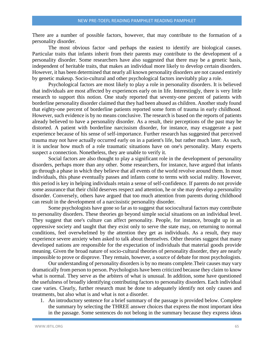There are a number of possible factors, however, that may contribute to the formation of a personality disorder.

The most obvious factor -and perhaps the easiest to identify are biological causes. Particular traits that infants inherit from their parents may contribute to the development of a personality disorder. Some researchers have also suggested that there may be a genetic basis, independent of heritable traits, that makes an individual more likely to develop certain disorders. However, it has been determined that nearly all known personality disorders are not caused entirely by genetic makeup. Socio-cultural and other psychological factors inevitably play a role.

Psychological factors are most likely to play a role in personality disorders. It is believed that individuals are most affected by experiences early on in life. Interestingly, there is very little research to support this notion. One study reported that seventy-one percent of patients with borderline personality disorder claimed that they had been abused as children. Another study found that eighty-one percent of borderline patients reported some form of trauma in early childhood. However, such evidence is by no means conclusive. The research is based on the reports of patients already believed to have a personality disorder. As a result, their perceptions of the past may be distorted. A patient with borderline narcissism disorder, for instance, may exaggerate a past experience because of his sense of self-importance. Further research has suggested that perceived trauma may not have actually occurred early on in a patient's life, but rather much later. As such, it is unclear how much of a role traumatic situations have on one's personality. Many experts suspect a connection. Nonetheless, they are unable to verify it.

Social factors are also thought to play a significant role in the development of personality disorders, perhaps more than any other. Some researchers, for instance, have argued that infants go through a phase in which they believe that all events of the world revolve around them. In most individuals, this phase eventually passes and infants come to terms with social reality. However, this period is key in helping individuals retain a sense of self-confidence. If parents do not provide some assurance that their child deserves respect and attention, he or she may develop a personality disorder. Conversely, others have argued that too much attention from parents during childhood can result in the development of a narcissistic personality disorder.

Some psychologists have gone so far as to suggest that sociocultural factors may contribute to personality disorders. These theories go beyond simple social situations on an individual level. They suggest that one's culture can affect personality. People, for instance, brought up in an oppressive society and taught that they exist only to serve the state may, on returning to normal conditions, feel overwhelmed by the attention they get as individuals. As a result, they may experience severe anxiety when asked to talk about themselves. Other theories suggest that many developed nations are responsible for the expectation of individuals that material goods provide meaning. Given the broad nature of socio-cultural theories of personality disorder, they are nearly impossible to prove or disprove. They remain, however, a source of debate for most psychologists.

Our understanding of personality disorders is by no means complete.Their causes may vary dramatically from person to person. Psychologists have been criticized because they claim to know what is normal. They serve as the arbiters of what is unusual. In addition, some have questioned the usefulness of broadly identifying contributing factors to personality disorders. Each individual case varies. Clearly, further research must be done to adequately identify not only causes and treatments, but also what is and what is not a disorder.

1. An introductory sentence for a brief summary of the passage is provided below. Complete the summary by selecting the THREE answer choices that express the most important idea in the passage. Some sentences do not belong in the summary because they express ideas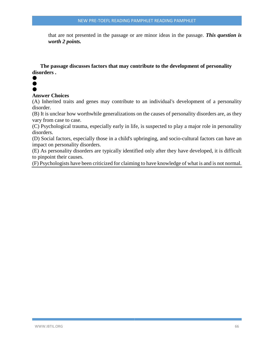that are not presented in the passage or are minor ideas in the passage. *This question is worth 2 points.*

**The passage discusses factors that may contribute to the development of personality disorders .**

#### $\bullet$  $\bullet$  $\bullet$

#### **Answer Choices**

(A) Inherited traits and genes may contribute to an individual's development of a personality disorder.

(B) It is unclear how worthwhile generalizations on the causes of personality disorders are, as they vary from case to case.

(C) Psychological trauma, especially early in life, is suspected to play a major role in personality disorders.

(D) Social factors, especially those in a child's upbringing, and socio-cultural factors can have an impact on personality disorders.

(E) As personality disorders are typically identified only after they have developed, it is difficult to pinpoint their causes.

(F) Psychologists have been criticized for claiming to have knowledge of what is and is not normal.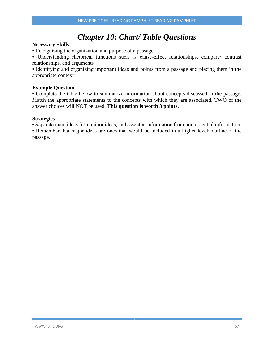# *Chapter 10: Chart/ Table Questions*

#### **Necessary Skills**

• Recognizing the organization and purpose of a passage

• Understanding rhetorical functions such as cause-effect relationships, compare/ contrast relationships, and arguments

• Identifying and organizing important ideas and points from a passage and placing them in the appropriate context

#### **Example Question**

• Complete the table below to summarize information about concepts discussed in the passage. Match the appropriate statements to the concepts with which they are associated. TWO of the answer choices will NOT be used. **This question is worth 3 points.**

#### **Strategies**

• Separate main ideas from minor ideas, and essential information from non-essential information.

• Remember that major ideas are ones that would be included in a higher-level· outline of the passage.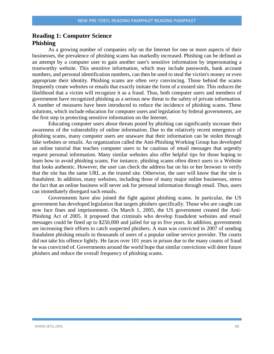# **Reading 1: Computer Science Phishing**

As a growing number of companies rely on the Internet for one or more aspects of their businesses, the prevalence of phishing scams has markedly increased. Phishing can be defined as an attempt by a computer user to gain another user's sensitive information by impersonating a trustworthy website. This sensitive information, which may include passwords, bank account numbers, and personal identification numbers, can then be used to steal the victim's money or *even* appropriate their identity. Phishing scams are often *very* convincing. Those behind the scams frequently create websites or emails that exactly imitate the form of a trusted site. This reduces the likelihood that a victim will recognize it as a fraud. Thus, both computer users and members of government have recognized phishing as a serious new threat to the safety of private information. A number of measures have been introduced to reduce the incidence of phishing scams. These solutions, which include education for computer users and legislation by federal governments, are the first step in protecting sensitive information on the Internet.

Educating computer users about threats posed by phishing can significantly increase their awareness of the vulnerability of online information. Due to the relatively recent emergence of phishing scams, many computer users are unaware that their information can be stolen through fake websites or emails. An organization called the Anti-Phishing Working Group has developed an online tutorial that teaches computer users to be cautious of email messages that urgently request personal information. Many similar websites also offer helpful tips for those hoping to learn how to avoid phishing scams. For instance, phishing scams often direct users to a Website that looks authentic. However, the user can check the address bar on his or her browser to verify that the site has the same URL as the trusted site. Otherwise, the user will know that the site is fraudulent. In addition, many websites, including those of many major online businesses, stress the fact that an online business will never ask for personal information through email. Thus, users can immediately disregard such emails.

Governments have also joined the fight against phishing scams. In particular, the US government has developed legislation that targets phishers specifically. Those who are caught can now face fines and imprisonment. On March 1, 2005, the US government created the Anti-Phishing Act of 2005. It proposed that criminals who develop fraudulent websites and email messages could be fined up to \$250,000 and jailed for up to five years. In addition, governments are increasing their efforts to catch suspected phishers. A man was convicted in 2007 of sending fraudulent phishing emails to thousands of users of a popular online service provider. The courts did not take his offence lightly. He faces over 101 years in prison due to the many counts of fraud he was convicted of. Governments around the world hope that similar convictions will deter future phishers and reduce the overall frequency of phishing scams.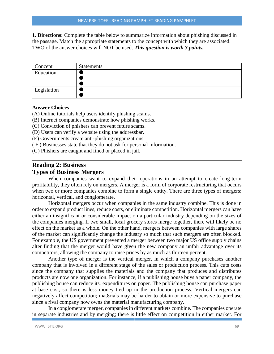**1. Directions:** Complete the table below to summarize information about phishing discussed in the passage. Match the appropriate statements to the concept with which they are associated. TWO of the answer choices will NOT be used. *This question is worth 3 points.*

| Concept     | Statements |
|-------------|------------|
| Education   |            |
|             |            |
|             |            |
| Legislation |            |
|             |            |

#### **Answer Choices**

(A) Online tutorials help users identify phishing scams.

- (B) Internet companies demonstrate how phishing works.
- (C) Conviction of phishers can prevent future scams.
- (D) Users can verify a website using the addressbar.
- (E) Governments create anti-phishing organizations.
- ( F ) Businesses state that they do not ask for personal information.
- (G) Phishers are caught and fined or placed in jail.

# **Reading 2: Business**

## **Types of Business Mergers**

When companies want to expand their operations in an attempt to create long-term profitability, they often rely on mergers. A merger is a form of corporate restructuring that occurs when two or more companies combine to form a single entity. There are three types of mergers: horizontal, vertical, and conglomerate.

Horizontal mergers occur when companies in the same industry combine. This is done in order to expand product lines, reduce costs, or eliminate competition. Horizontal mergers can have either an insignificant or considerable impact on a particular industry depending on the sizes of the companies merging. If two small, local grocery stores merge together, there will likely be no effect on the market as a whole. On the other hand, mergers between companies with large shares of the market can significantly change the industry so much that such mergers are often blocked. For example, the US government prevented a merger between two major US office supply chains alter finding that the merger would have given the new company an unfair advantage over its competitors, allowing the company to raise prices by as much as thirteen percent.

Another type of merger is the vertical merger, in which a company purchases another company that is involved in a different stage of the sales or production process. This cuts costs since the company that supplies the materials and the company that produces and distributes products are now one organization. For instance, if a publishing house buys a paper company, the publishing house can reduce its. expenditures on paper. The publishing house can purchase paper at base cost, so there is less money tied up in the production process. Vertical mergers can negatively affect competition; mat8rials may be harder to obtain or more expensive to purchase since a rival company now owns the material manufacturing company.

In a conglomerate merger, companies in different markets combine. The companies operate in separate industries and by merging; there is little effect on competition in either market. For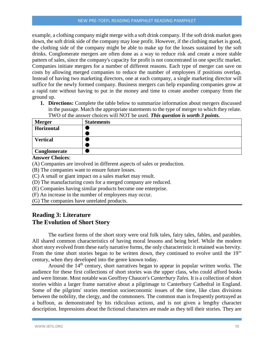example, a clothing company might merge with a soft drink company. If the soft drink market goes down, the soft drink side of the company may lose profit. However, if the clothing market is good, the clothing side of the company might be able to make up for the losses sustained by the soft drinks. Conglomerate mergers are often done as a way to reduce risk and create a more stable pattern of sales, since the company's capacity for profit is not concentrated in one specific market. Companies initiate mergers for a number of different reasons. Each type of merger can save on costs by allowing merged companies to reduce the number of employees if positions overlap. Instead of having two marketing directors, one at each company, a single marketing director will suffice for the newly formed company. Business mergers can help expanding companies grow at a rapid rate without having to put in the money and time to create another company from the ground up.

**1. Directions:** Complete the table below to summarize information about mergers discussed in the passage. Match the appropriate statements to the type of merger to which they relate. TWO of the answer choices will NOT be used. *This question is worth 3 points.*

| <b>Merger</b>   | <b>Statements</b> |
|-----------------|-------------------|
| Horizontal      |                   |
|                 |                   |
| <b>Vertical</b> |                   |
|                 |                   |
| Conglomerate    |                   |

#### **Answer Choices**:

- (A) Companies are involved in different aspects of sales or production.
- (B) The companies want to ensure future losses.
- (C) A small or giant impact on a sales market may result.
- (D) The manufacturing costs for a merged company are reduced.
- (E) Companies having similar products become one enterprise.
- (F) An increase in the number of employees may occur.
- (G) The companies have unrelated products.

# **Reading 3: Literature The Evolution of Short Story**

The earliest forms of the short story were oral folk tales, fairy tales, fables, and parables. All shared common characteristics of having moral lessons and being brief. While the modern short story evolved from these early narrative forms, the only characteristic it retained was brevity. From the time short stories began to be written down, they continued to evolve until the 19'" century, when they developed into the genre known today.

Around the 14<sup>th</sup> century, short narratives began to appear in popular written works. The audience for these first collections of short stories was the upper class, who could afford books and were literate. Most notable was Geoffrey Chaucer's *Canterbury Tales.* It is a collection of short stories within a larger frame narrative about a pilgrimage to Canterbury Cathedral in England. Some of the pilgrims' stories mention socioeconomic issues of the time, like class divisions between the nobility, the clergy, and the commoners. The common man is frequently portrayed as a buffoon, as demonstrated by his ridiculous actions, and is not given a lengthy character description. Impressions about the fictional characters are made as they tell their stories. They are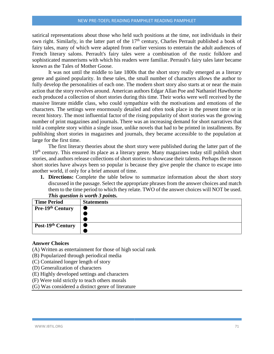satirical representations about those who held such positions at the time, not individuals in their own right. Similarly, in the latter part of the  $17<sup>th</sup>$  century, Charles Perrault published a book of fairy tales, many of which were adapted from earlier versions to entertain the adult audiences of French literary salons. Perrault's fairy tales were a combination of the rustic folklore and sophisticated mannerisms with which his readers were familiar. Perrault's fairy tales later became known as the Tales of Mother Goose.

It was not until the middle to late 1800s that the short story really emerged as a literary genre and gained popularity. In these tales, the small number of characters allows the author to fully develop the personalities of each one. The modern short story also starts at or near the main action that the story revolves around. American authors Edgar Allan Poe and Nathaniel Hawthorne each produced a collection of short stories during this time. Their works were well received by the massive literate middle class, who could sympathize with the motivations and emotions of the characters. The settings were enormously detailed and often took place in the present time or in recent history. The most influential factor of the rising popularity of short stories was the growing number of print magazines and journals. There was an increasing demand for short narratives that told a complete story within a single issue, unlike novels that had to be printed in installments. By publishing short stories in magazines and journals, they became accessible to the population at large for the first time.

The first literary theories about the short story were published during the latter part of the 19<sup>th</sup> century. This ensured its place as a literary genre. Many magazines today still publish short stories, and authors release collections of short stories to showcase their talents. Perhaps the reason short stories have always been so popular is because they give people the chance to escape into another world, if only for a brief amount of time.

**1. Directions:** Complete the table below to summarize information about the short story discussed in the passage. Select the appropriate phrases from the answer choices and match them to the time period to which they relate. TWO of the answer choices will NOT be used. *This question is worth 3 points.*

| <b>Time Period</b> | <b>Statements</b> |
|--------------------|-------------------|
| Pre-19th Century   |                   |
|                    |                   |
|                    |                   |
| Post-19th Century  |                   |
|                    |                   |

#### **Answer Choices**

- (A) Written as entertainment for those of high social rank
- (B) Popularized through periodical media
- (C) Contained longer length of story
- (D) Generalization of characters
- (E) Highly developed settings and characters
- (F) Were told strictly to teach others morals
- (G) Was considered a distinct genre of literature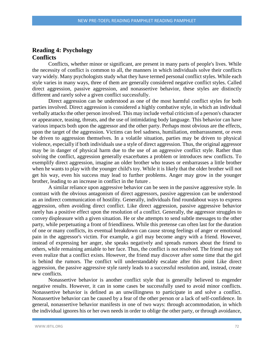## **Reading 4: Psychology Conflicts**

Conflicts, whether minor or significant, are present in many parts of people's lives. While the necessity of conflict is common to all, the manners in which individuals solve their conflicts vary widely. Many psychologists study what they have termed personal conflict styles. While each style varies in many ways, three of them are generally considered negative conflict styles. Called direct aggression, passive aggression, and nonassertive behavior, these styles are distinctly different and rarely solve a given conflict successfully.

Direct aggression can be understood as one of the most harmful conflict styles for both parties involved. Direct aggression is considered a highly combative style, in which an individual verbally attacks the other person involved. This may include verbal criticism of a person's character or appearance, teasing, threats, and the use of intimidating body language. This behavior can have various impacts both upon the aggressor and the other party. Perhaps most obvious are the effects, upon the target of the aggression. Victims can feel sadness, humiliation, embarrassment, or even be driven to aggression themselves. In a volatile situation, parties may be driven to physical violence, especially if both individuals use a style of direct aggression. Thus, the original aggressor may be in danger of physical harm due to the use of an aggressive conflict style. Rather than solving the conflict, aggression generally exacerbates a problem or introduces new conflicts. To exemplify direct aggression, imagine an older brother who teases or embarrasses a little brother when he wants to play with the younger child's toy. While it is likely that the older brother will not get his way, even his success may lead to further problems. Anger may grow in the younger brother, leading to an increase in conflict in the future .

A similar reliance upon aggressive behavior can be seen in the passive aggressive style. In contrast with the obvious antagonism of direct aggressors, passive aggression can be understood as an indirect communication of hostility. Generally, individuals find roundabout ways to express aggression, often avoiding direct conflict. Like direct aggression, passive aggressive behavior rarely has a positive effect upon the resolution of a conflict. Generally, the aggressor struggles to convey displeasure with a given situation. He or she attempts to send subtle messages to the other party, while perpetuating a front of friendliness. While this pretense can often last for the duration of one or many conflicts, its eventual breakdown can cause strong feelings of anger or emotional pain in the aggressor's victim. For example, a girl may become angry with a friend. However, instead of expressing her anger, she speaks negatively and spreads rumors about the friend to others, while remaining amiable to her face. Thus, the conflict is not resolved. The friend may not even realize that a conflict exists. However, the friend may discover after some time that the girl is behind the rumors. The conflict will understandably escalate after this point Like direct aggression, the passive aggressive style rarely leads to a successful resolution and, instead, create new conflicts.

Nonassertive behavior is another conflict style that is generally believed to engender negative results. However, it can in some cases be successfully used to avoid minor conflicts. Nonassertive behavior is defined as an unwillingness to participate in and solve a conflict. Nonassertive behavior can be caused by a fear of the other person or a lack of self-confidence. In general, nonassertive behavior manifests in one of two ways: through accommodation, in which the individual ignores his or her own needs in order to oblige the other party, or through avoidance,